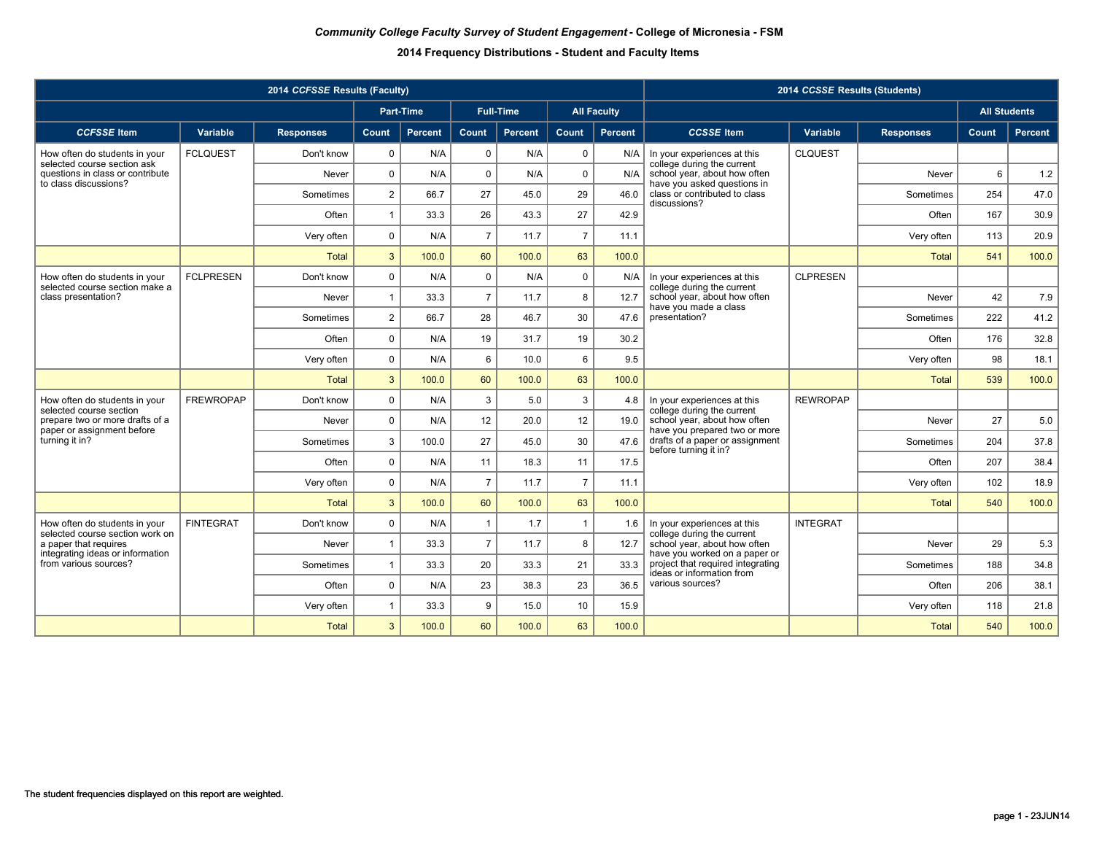|                                                                  |                  | 2014 CCFSSE Results (Faculty) |                |           |                |                  |                |                    |                                                                | 2014 CCSSE Results (Students) |                  |                     |         |
|------------------------------------------------------------------|------------------|-------------------------------|----------------|-----------|----------------|------------------|----------------|--------------------|----------------------------------------------------------------|-------------------------------|------------------|---------------------|---------|
|                                                                  |                  |                               |                | Part-Time |                | <b>Full-Time</b> |                | <b>All Faculty</b> |                                                                |                               |                  | <b>All Students</b> |         |
| <b>CCFSSE</b> Item                                               | Variable         | <b>Responses</b>              | Count          | Percent   | Count          | Percent          | Count          | Percent            | <b>CCSSE</b> Item                                              | Variable                      | <b>Responses</b> | Count               | Percent |
| How often do students in your<br>selected course section ask     | <b>FCLQUEST</b>  | Don't know                    | $\mathbf 0$    | N/A       | 0              | N/A              | $\mathbf 0$    | N/A                | In your experiences at this<br>college during the current      | <b>CLQUEST</b>                |                  |                     |         |
| questions in class or contribute<br>to class discussions?        |                  | Never                         | $\mathbf 0$    | N/A       | $\mathbf 0$    | N/A              | $\mathbf 0$    | N/A                | school year, about how often<br>have you asked questions in    |                               | Never            | 6                   | $1.2$   |
|                                                                  |                  | Sometimes                     | $\overline{2}$ | 66.7      | 27             | 45.0             | 29             | 46.0               | class or contributed to class<br>discussions?                  |                               | Sometimes        | 254                 | 47.0    |
|                                                                  |                  | Often                         | $\mathbf{1}$   | 33.3      | 26             | 43.3             | 27             | 42.9               |                                                                |                               | Often            | 167                 | 30.9    |
|                                                                  |                  | Very often                    | $\mathbf 0$    | N/A       | $\overline{7}$ | 11.7             | $\overline{7}$ | 11.1               |                                                                |                               | Very often       | 113                 | 20.9    |
|                                                                  |                  | <b>Total</b>                  | $\mathbf{3}$   | 100.0     | 60             | 100.0            | 63             | 100.0              |                                                                |                               | <b>Total</b>     | 541                 | 100.0   |
| How often do students in your<br>selected course section make a  | <b>FCLPRESEN</b> | Don't know                    | $\mathbf 0$    | N/A       | $\pmb{0}$      | N/A              | $\mathbf 0$    | N/A                | In your experiences at this<br>college during the current      | <b>CLPRESEN</b>               |                  |                     |         |
| class presentation?                                              |                  | Never                         | $\mathbf{1}$   | 33.3      | $\overline{7}$ | 11.7             | 8              | 12.7               | school year, about how often<br>have you made a class          |                               | Never            | 42                  | 7.9     |
|                                                                  |                  | Sometimes                     | $\overline{2}$ | 66.7      | 28             | 46.7             | 30             | 47.6               | presentation?                                                  |                               | Sometimes        | 222                 | 41.2    |
|                                                                  |                  | Often                         | $\mathbf 0$    | N/A       | 19             | 31.7             | 19             | 30.2               |                                                                |                               | Often            | 176                 | 32.8    |
|                                                                  |                  | Very often                    | $\mathbf 0$    | N/A       | $\,6\,$        | 10.0             | 6              | 9.5                |                                                                |                               | Very often       | 98                  | 18.1    |
|                                                                  |                  | <b>Total</b>                  | 3              | 100.0     | 60             | 100.0            | 63             | 100.0              |                                                                |                               | <b>Total</b>     | 539                 | 100.0   |
| How often do students in your<br>selected course section         | <b>FREWROPAP</b> | Don't know                    | $\mathbf 0$    | N/A       | 3              | 5.0              | 3              | 4.8                | In your experiences at this<br>college during the current      | <b>REWROPAP</b>               |                  |                     |         |
| prepare two or more drafts of a<br>paper or assignment before    |                  | Never                         | $\mathbf 0$    | N/A       | 12             | 20.0             | 12             | 19.0               | school year, about how often<br>have you prepared two or more  |                               | Never            | 27                  | 5.0     |
| turning it in?                                                   |                  | Sometimes                     | 3              | 100.0     | 27             | 45.0             | 30             | 47.6               | drafts of a paper or assignment<br>before turning it in?       |                               | Sometimes        | 204                 | 37.8    |
|                                                                  |                  | Often                         | 0              | N/A       | 11             | 18.3             | 11             | 17.5               |                                                                |                               | Often            | 207                 | 38.4    |
|                                                                  |                  | Very often                    | $\mathbf 0$    | N/A       | $\overline{7}$ | 11.7             | $\overline{7}$ | 11.1               |                                                                |                               | Very often       | 102                 | 18.9    |
|                                                                  |                  | <b>Total</b>                  | 3              | 100.0     | 60             | 100.0            | 63             | 100.0              |                                                                |                               | <b>Total</b>     | 540                 | 100.0   |
| How often do students in your<br>selected course section work on | <b>FINTEGRAT</b> | Don't know                    | $\mathbf 0$    | N/A       | $\mathbf{1}$   | 1.7              | $\overline{1}$ | 1.6                | In your experiences at this<br>college during the current      | <b>INTEGRAT</b>               |                  |                     |         |
| a paper that requires<br>integrating ideas or information        |                  | Never                         | $\mathbf{1}$   | 33.3      | $\overline{7}$ | 11.7             | 8              | 12.7               | school year, about how often<br>have you worked on a paper or  |                               | Never            | 29                  | 5.3     |
| from various sources?                                            |                  | Sometimes                     | $\mathbf{1}$   | 33.3      | 20             | 33.3             | 21             | 33.3               | project that required integrating<br>ideas or information from |                               | Sometimes        | 188                 | 34.8    |
|                                                                  |                  | Often                         | $\mathbf 0$    | N/A       | 23             | 38.3             | 23             | 36.5               | various sources?                                               |                               | Often            | 206                 | 38.1    |
|                                                                  |                  | Very often                    | $\mathbf{1}$   | 33.3      | 9              | 15.0             | 10             | 15.9               |                                                                |                               | Very often       | 118                 | 21.8    |
|                                                                  |                  | <b>Total</b>                  | $\mathbf{3}$   | 100.0     | 60             | 100.0            | 63             | 100.0              |                                                                |                               | <b>Total</b>     | 540                 | 100.0   |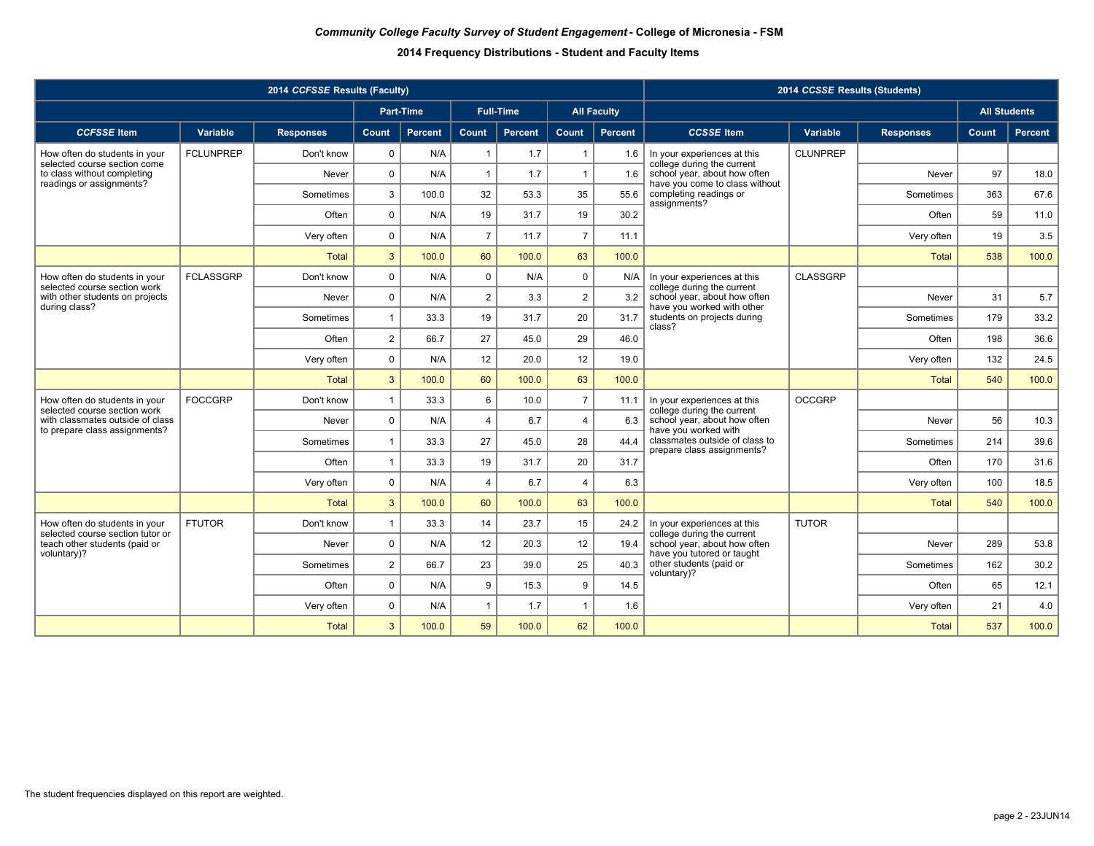|                                                                                  |                  | 2014 CCFSSE Results (Faculty) |                |           |                |                  |                |                    |                                                                | 2014 CCSSE Results (Students) |                  |                     |         |
|----------------------------------------------------------------------------------|------------------|-------------------------------|----------------|-----------|----------------|------------------|----------------|--------------------|----------------------------------------------------------------|-------------------------------|------------------|---------------------|---------|
|                                                                                  |                  |                               |                | Part-Time |                | <b>Full-Time</b> |                | <b>All Faculty</b> |                                                                |                               |                  | <b>All Students</b> |         |
| <b>CCFSSE</b> Item                                                               | Variable         | <b>Responses</b>              | <b>Count</b>   | Percent   | Count          | <b>Percent</b>   | Count          | Percent            | <b>CCSSE</b> Item                                              | Variable                      | <b>Responses</b> | Count               | Percent |
| How often do students in your<br>selected course section come                    | <b>FCLUNPREP</b> | Don't know                    | 0              | N/A       |                | 1.7              | $\overline{1}$ | 1.6                | In your experiences at this<br>college during the current      | <b>CLUNPREP</b>               |                  |                     |         |
| to class without completing<br>readings or assignments?                          |                  | Never                         | $\mathbf 0$    | N/A       | $\overline{1}$ | 1.7              | $\mathbf{1}$   | 1.6                | school year, about how often<br>have you come to class without |                               | Never            | 97                  | 18.0    |
|                                                                                  |                  | Sometimes                     | 3              | 100.0     | 32             | 53.3             | 35             | 55.6               | completing readings or<br>assignments?                         |                               | Sometimes        | 363                 | 67.6    |
|                                                                                  |                  | Often                         | $\mathbf 0$    | N/A       | 19             | 31.7             | 19             | 30.2               |                                                                |                               | Often            | 59                  | 11.0    |
|                                                                                  |                  | Very often                    | $\mathbf 0$    | N/A       | $\overline{7}$ | 11.7             | $\overline{7}$ | 11.1               |                                                                |                               | Very often       | 19                  | 3.5     |
|                                                                                  |                  | <b>Total</b>                  | 3              | 100.0     | 60             | 100.0            | 63             | 100.0              |                                                                |                               | <b>Total</b>     | 538                 | 100.0   |
| How often do students in your<br>selected course section work                    | <b>FCLASSGRP</b> | Don't know                    | $\mathbf 0$    | N/A       | $\mathbf 0$    | N/A              | $\mathbf 0$    | N/A                | In your experiences at this<br>college during the current      | <b>CLASSGRP</b>               |                  |                     |         |
| with other students on projects<br>during class?                                 |                  | Never                         | $\mathbf 0$    | N/A       | $\overline{2}$ | 3.3              | $\overline{2}$ | 3.2                | school year, about how often<br>have you worked with other     |                               | Never            | 31                  | 5.7     |
|                                                                                  |                  | Sometimes                     | $\mathbf{1}$   | 33.3      | 19             | 31.7             | 20             | 31.7               | students on projects during<br>class?                          |                               | Sometimes        | 179                 | 33.2    |
|                                                                                  |                  | Often                         | $\overline{2}$ | 66.7      | 27             | 45.0             | 29             | 46.0               |                                                                |                               | Often            | 198                 | 36.6    |
|                                                                                  |                  | Very often                    | $\mathbf 0$    | N/A       | 12             | 20.0             | 12             | 19.0               |                                                                |                               | Very often       | 132                 | 24.5    |
|                                                                                  |                  | <b>Total</b>                  | $\mathbf{3}$   | 100.0     | 60             | 100.0            | 63             | 100.0              |                                                                |                               | <b>Total</b>     | 540                 | 100.0   |
| How often do students in your<br>selected course section work                    | <b>FOCCGRP</b>   | Don't know                    | $\mathbf{1}$   | 33.3      | 6              | 10.0             | $\overline{7}$ | 11.1               | In your experiences at this<br>college during the current      | <b>OCCGRP</b>                 |                  |                     |         |
| with classmates outside of class<br>to prepare class assignments?                |                  | Never                         | $\Omega$       | N/A       | $\overline{4}$ | 6.7              | $\overline{4}$ | 6.3                | school year, about how often<br>have you worked with           |                               | Never            | 56                  | 10.3    |
|                                                                                  |                  | Sometimes                     | $\mathbf{1}$   | 33.3      | 27             | 45.0             | 28             | 44.4               | classmates outside of class to<br>prepare class assignments?   |                               | Sometimes        | 214                 | 39.6    |
|                                                                                  |                  | Often                         | $\mathbf{1}$   | 33.3      | 19             | 31.7             | 20             | 31.7               |                                                                |                               | Often            | 170                 | 31.6    |
|                                                                                  |                  | Very often                    | $\mathbf 0$    | N/A       | $\overline{4}$ | 6.7              | $\overline{4}$ | 6.3                |                                                                |                               | Very often       | 100                 | 18.5    |
|                                                                                  |                  | <b>Total</b>                  | 3              | 100.0     | 60             | 100.0            | 63             | 100.0              |                                                                |                               | <b>Total</b>     | 540                 | 100.0   |
| How often do students in your                                                    | <b>FTUTOR</b>    | Don't know                    | $\mathbf{1}$   | 33.3      | 14             | 23.7             | 15             | 24.2               | In your experiences at this<br>college during the current      | <b>TUTOR</b>                  |                  |                     |         |
| selected course section tutor or<br>teach other students (paid or<br>voluntary)? |                  | Never                         | $\mathbf 0$    | N/A       | 12             | 20.3             | 12             | 19.4               | school year, about how often<br>have you tutored or taught     |                               | Never            | 289                 | 53.8    |
|                                                                                  |                  | Sometimes                     | $\overline{2}$ | 66.7      | 23             | 39.0             | 25             | 40.3               | other students (paid or<br>voluntary)?                         |                               | Sometimes        | 162                 | 30.2    |
|                                                                                  |                  | Often                         | $\mathbf 0$    | N/A       | 9              | 15.3             | 9              | 14.5               |                                                                |                               | Often            | 65                  | 12.1    |
|                                                                                  |                  | Very often                    | $\pmb{0}$      | N/A       | $\overline{1}$ | 1.7              | $\overline{1}$ | 1.6                |                                                                |                               | Very often       | 21                  | 4.0     |
|                                                                                  |                  | <b>Total</b>                  | 3              | 100.0     | 59             | 100.0            | 62             | 100.0              |                                                                |                               | <b>Total</b>     | 537                 | 100.0   |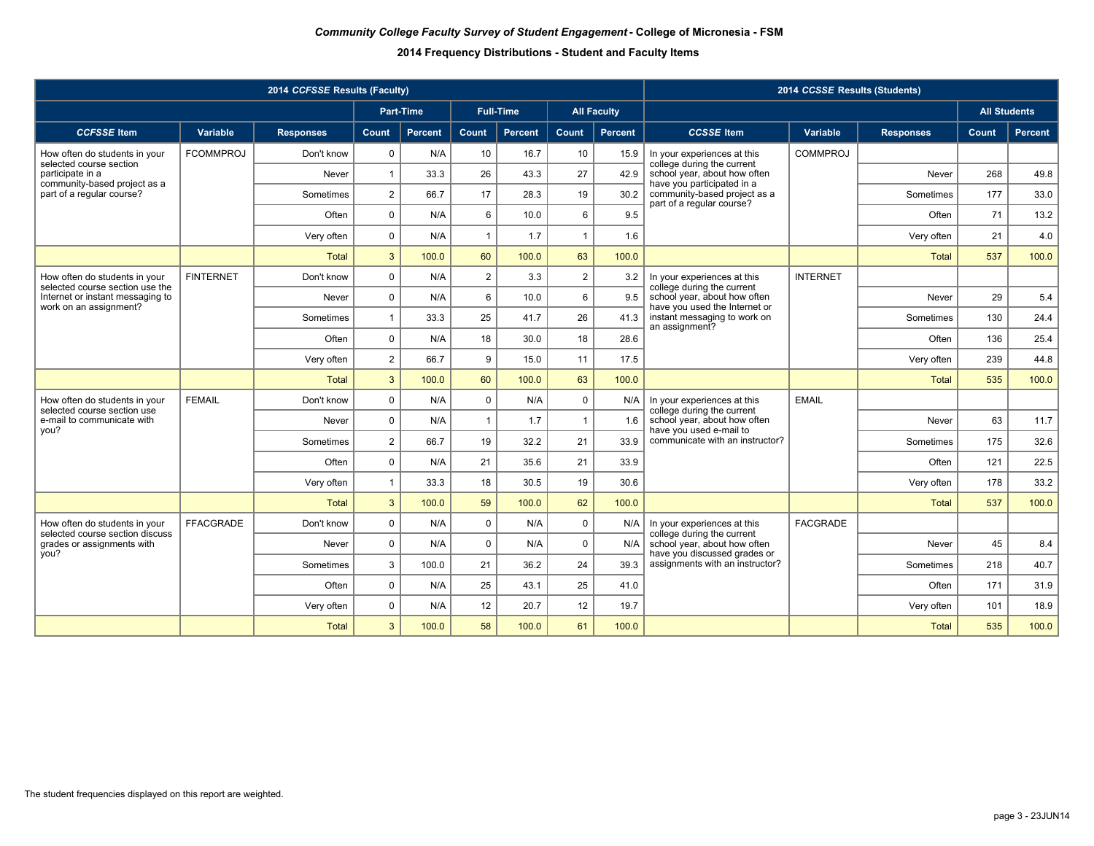|                                                                       |                  | 2014 CCFSSE Results (Faculty) |                |           |                |                  |                |                    |                                                               | 2014 CCSSE Results (Students) |                  |                     |         |
|-----------------------------------------------------------------------|------------------|-------------------------------|----------------|-----------|----------------|------------------|----------------|--------------------|---------------------------------------------------------------|-------------------------------|------------------|---------------------|---------|
|                                                                       |                  |                               |                | Part-Time |                | <b>Full-Time</b> |                | <b>All Faculty</b> |                                                               |                               |                  | <b>All Students</b> |         |
| <b>CCFSSE</b> Item                                                    | Variable         | <b>Responses</b>              | Count          | Percent   | Count          | <b>Percent</b>   | Count          | Percent            | <b>CCSSE</b> Item                                             | Variable                      | <b>Responses</b> | Count               | Percent |
| How often do students in your<br>selected course section              | <b>FCOMMPROJ</b> | Don't know                    | 0              | N/A       | 10             | 16.7             | 10             | 15.9               | In your experiences at this<br>college during the current     | <b>COMMPROJ</b>               |                  |                     |         |
| participate in a<br>community-based project as a                      |                  | Never                         | $\mathbf{1}$   | 33.3      | 26             | 43.3             | 27             | 42.9               | school year, about how often<br>have you participated in a    |                               | Never            | 268                 | 49.8    |
| part of a regular course?                                             |                  | Sometimes                     | $\overline{2}$ | 66.7      | 17             | 28.3             | 19             | 30.2               | community-based project as a<br>part of a regular course?     |                               | Sometimes        | 177                 | 33.0    |
|                                                                       |                  | Often                         | $\mathbf 0$    | N/A       | 6              | 10.0             | 6              | 9.5                |                                                               |                               | Often            | 71                  | 13.2    |
|                                                                       |                  | Very often                    | $\mathbf 0$    | N/A       | $\overline{1}$ | 1.7              | $\overline{1}$ | 1.6                |                                                               |                               | Very often       | 21                  | 4.0     |
|                                                                       |                  | <b>Total</b>                  | 3              | 100.0     | 60             | 100.0            | 63             | 100.0              |                                                               |                               | <b>Total</b>     | 537                 | 100.0   |
| How often do students in your<br>selected course section use the      | <b>FINTERNET</b> | Don't know                    | $\mathbf 0$    | N/A       | $\overline{2}$ | 3.3              | $\overline{2}$ | 3.2                | In your experiences at this<br>college during the current     | <b>INTERNET</b>               |                  |                     |         |
| Internet or instant messaging to<br>work on an assignment?            |                  | Never                         | $\mathbf 0$    | N/A       | 6              | 10.0             | 6              | 9.5                | school year, about how often<br>have you used the Internet or |                               | Never            | 29                  | 5.4     |
|                                                                       |                  | Sometimes                     | $\mathbf{1}$   | 33.3      | 25             | 41.7             | 26             | 41.3               | instant messaging to work on<br>an assignment?                |                               | Sometimes        | 130                 | 24.4    |
|                                                                       |                  | Often                         | $\Omega$       | N/A       | 18             | 30.0             | 18             | 28.6               |                                                               |                               | Often            | 136                 | 25.4    |
|                                                                       |                  | Very often                    | $\overline{2}$ | 66.7      | 9              | 15.0             | 11             | 17.5               |                                                               |                               | Very often       | 239                 | 44.8    |
|                                                                       |                  | <b>Total</b>                  | $\mathbf{3}$   | 100.0     | 60             | 100.0            | 63             | 100.0              |                                                               |                               | <b>Total</b>     | 535                 | 100.0   |
| How often do students in your<br>selected course section use          | <b>FEMAIL</b>    | Don't know                    | $\Omega$       | N/A       | $\Omega$       | N/A              | $\Omega$       | N/A                | In your experiences at this<br>college during the current     | <b>EMAIL</b>                  |                  |                     |         |
| e-mail to communicate with<br>you?                                    |                  | Never                         | $\Omega$       | N/A       | $\overline{1}$ | 1.7              | $\overline{1}$ | 1.6                | school year, about how often<br>have you used e-mail to       |                               | Never            | 63                  | $11.7$  |
|                                                                       |                  | Sometimes                     | $\overline{2}$ | 66.7      | 19             | 32.2             | 21             | 33.9               | communicate with an instructor?                               |                               | Sometimes        | 175                 | 32.6    |
|                                                                       |                  | Often                         | $\mathbf 0$    | N/A       | 21             | 35.6             | 21             | 33.9               |                                                               |                               | Often            | 121                 | 22.5    |
|                                                                       |                  | Very often                    | $\mathbf{1}$   | 33.3      | 18             | 30.5             | 19             | 30.6               |                                                               |                               | Very often       | 178                 | 33.2    |
|                                                                       |                  | <b>Total</b>                  | 3              | 100.0     | 59             | 100.0            | 62             | 100.0              |                                                               |                               | <b>Total</b>     | 537                 | 100.0   |
| How often do students in your                                         | <b>FFACGRADE</b> | Don't know                    | $\mathbf 0$    | N/A       | $\mathbf 0$    | N/A              | $\mathbf 0$    | N/A                | In your experiences at this<br>college during the current     | <b>FACGRADE</b>               |                  |                     |         |
| selected course section discuss<br>grades or assignments with<br>you? |                  | Never                         | $\mathbf 0$    | N/A       | $\mathbf 0$    | N/A              | $\mathbf 0$    | N/A                | school year, about how often<br>have you discussed grades or  |                               | Never            | 45                  | 8.4     |
|                                                                       |                  | Sometimes                     | 3              | 100.0     | 21             | 36.2             | 24             | 39.3               | assignments with an instructor?                               |                               | Sometimes        | 218                 | 40.7    |
|                                                                       |                  | Often                         | $\mathbf 0$    | N/A       | 25             | 43.1             | 25             | 41.0               |                                                               |                               | Often            | 171                 | 31.9    |
|                                                                       |                  | Very often                    | $\pmb{0}$      | N/A       | 12             | 20.7             | 12             | 19.7               |                                                               |                               | Very often       | 101                 | 18.9    |
|                                                                       |                  | <b>Total</b>                  | 3              | 100.0     | 58             | 100.0            | 61             | 100.0              |                                                               |                               | <b>Total</b>     | 535                 | 100.0   |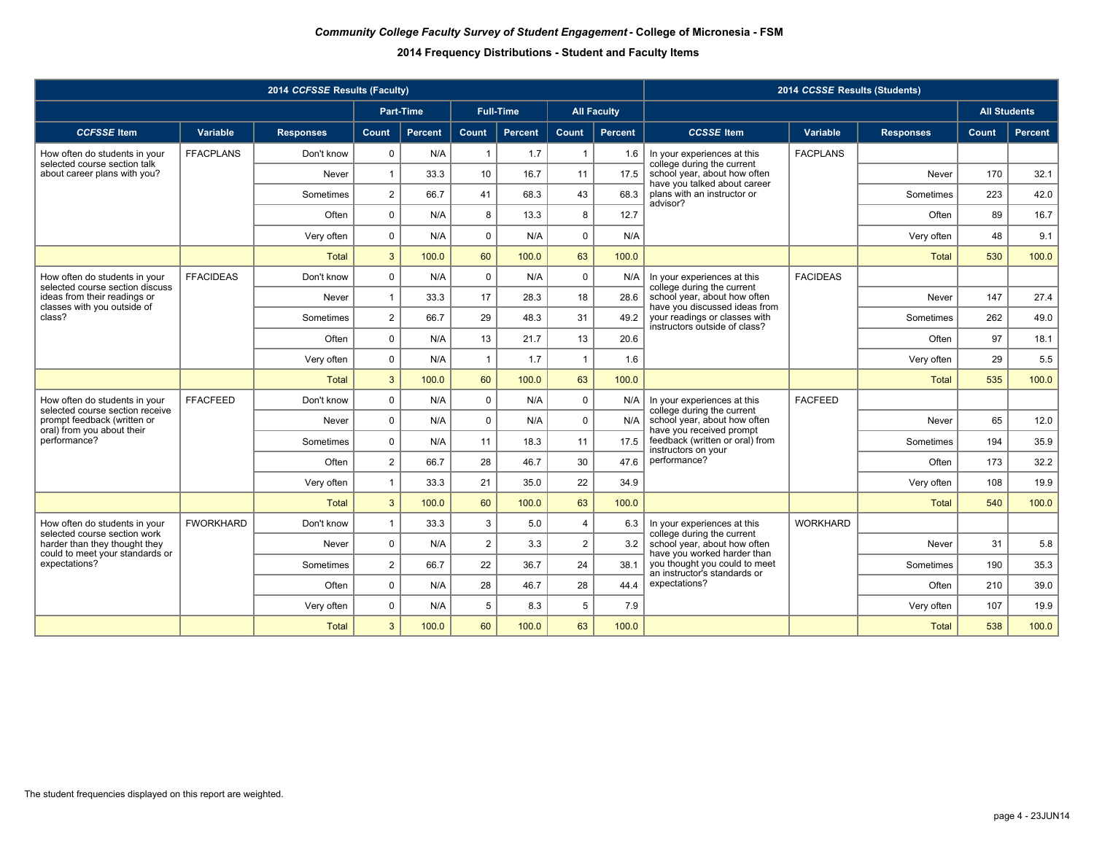|                                                                  |                  | 2014 CCFSSE Results (Faculty) |                |           |                 |                  |                 |                    |                                                                | 2014 CCSSE Results (Students) |                  |                     |         |
|------------------------------------------------------------------|------------------|-------------------------------|----------------|-----------|-----------------|------------------|-----------------|--------------------|----------------------------------------------------------------|-------------------------------|------------------|---------------------|---------|
|                                                                  |                  |                               |                | Part-Time |                 | <b>Full-Time</b> |                 | <b>All Faculty</b> |                                                                |                               |                  | <b>All Students</b> |         |
| <b>CCFSSE</b> Item                                               | Variable         | <b>Responses</b>              | Count          | Percent   | Count           | <b>Percent</b>   | Count           | Percent            | <b>CCSSE</b> Item                                              | Variable                      | <b>Responses</b> | Count               | Percent |
| How often do students in your<br>selected course section talk    | <b>FFACPLANS</b> | Don't know                    | $\mathbf 0$    | N/A       |                 | 1.7              | -1              | 1.6                | In your experiences at this<br>college during the current      | <b>FACPLANS</b>               |                  |                     |         |
| about career plans with you?                                     |                  | Never                         | $\mathbf{1}$   | 33.3      | 10              | 16.7             | 11              | 17.5               | school year, about how often<br>have you talked about career   |                               | Never            | 170                 | 32.1    |
|                                                                  |                  | Sometimes                     | $\overline{2}$ | 66.7      | 41              | 68.3             | 43              | 68.3               | plans with an instructor or<br>advisor?                        |                               | Sometimes        | 223                 | 42.0    |
|                                                                  |                  | Often                         | $\mathbf 0$    | N/A       | 8               | 13.3             | 8               | 12.7               |                                                                |                               | Often            | 89                  | 16.7    |
|                                                                  |                  | Very often                    | $\mathbf 0$    | N/A       | $\mathbf 0$     | N/A              | $\mathbf 0$     | N/A                |                                                                |                               | Very often       | 48                  | 9.1     |
|                                                                  |                  | <b>Total</b>                  | $\mathbf{3}$   | 100.0     | 60              | 100.0            | 63              | 100.0              |                                                                |                               | <b>Total</b>     | 530                 | 100.0   |
| How often do students in your<br>selected course section discuss | <b>FFACIDEAS</b> | Don't know                    | $\mathbf 0$    | N/A       | $\mathbf 0$     | N/A              | $\mathbf 0$     | N/A                | In your experiences at this<br>college during the current      | <b>FACIDEAS</b>               |                  |                     |         |
| ideas from their readings or<br>classes with you outside of      |                  | Never                         | $\mathbf{1}$   | 33.3      | 17              | 28.3             | 18              | 28.6               | school year, about how often<br>have you discussed ideas from  |                               | Never            | 147                 | 27.4    |
| class?                                                           |                  | Sometimes                     | $\overline{2}$ | 66.7      | 29              | 48.3             | 31              | 49.2               | your readings or classes with<br>instructors outside of class? |                               | Sometimes        | 262                 | 49.0    |
|                                                                  |                  | Often                         | $\mathbf 0$    | N/A       | 13              | 21.7             | 13              | 20.6               |                                                                |                               | Often            | 97                  | 18.1    |
|                                                                  |                  | Very often                    | $\mathbf 0$    | N/A       | $\overline{1}$  | 1.7              | $\overline{1}$  | 1.6                |                                                                |                               | Very often       | 29                  | 5.5     |
|                                                                  |                  | <b>Total</b>                  | 3              | 100.0     | 60              | 100.0            | 63              | 100.0              |                                                                |                               | <b>Total</b>     | 535                 | 100.0   |
| How often do students in your<br>selected course section receive | <b>FFACFEED</b>  | Don't know                    | $\mathbf 0$    | N/A       | $\mathbf 0$     | N/A              | $\mathbf 0$     | N/A                | In your experiences at this<br>college during the current      | <b>FACFEED</b>                |                  |                     |         |
| prompt feedback (written or<br>oral) from you about their        |                  | Never                         | $\mathbf 0$    | N/A       | $\mathbf 0$     | N/A              | $\mathbf{0}$    | N/A                | school year, about how often<br>have you received prompt       |                               | Never            | 65                  | 12.0    |
| performance?                                                     |                  | Sometimes                     | $\pmb{0}$      | N/A       | 11              | 18.3             | 11              | 17.5               | feedback (written or oral) from<br>instructors on your         |                               | Sometimes        | 194                 | 35.9    |
|                                                                  |                  | Often                         | $\overline{2}$ | 66.7      | 28              | 46.7             | 30              | 47.6               | performance?                                                   |                               | Often            | 173                 | 32.2    |
|                                                                  |                  | Very often                    | $\mathbf{1}$   | 33.3      | 21              | 35.0             | 22              | 34.9               |                                                                |                               | Very often       | 108                 | 19.9    |
|                                                                  |                  | <b>Total</b>                  | 3              | 100.0     | 60              | 100.0            | 63              | 100.0              |                                                                |                               | <b>Total</b>     | 540                 | 100.0   |
| How often do students in your<br>selected course section work    | <b>FWORKHARD</b> | Don't know                    | $\mathbf{1}$   | 33.3      | 3               | 5.0              | $\overline{4}$  | 6.3                | In your experiences at this<br>college during the current      | <b>WORKHARD</b>               |                  |                     |         |
| harder than they thought they<br>could to meet your standards or |                  | Never                         | $\Omega$       | N/A       | $\overline{2}$  | 3.3              | $\overline{2}$  | 3.2                | school year, about how often<br>have you worked harder than    |                               | Never            | 31                  | 5.8     |
| expectations?                                                    |                  | Sometimes                     | $\overline{2}$ | 66.7      | 22              | 36.7             | 24              | 38.1               | you thought you could to meet<br>an instructor's standards or  |                               | Sometimes        | 190                 | 35.3    |
|                                                                  |                  | Often                         | $\mathbf 0$    | N/A       | 28              | 46.7             | 28              | 44.4               | expectations?                                                  |                               | Often            | 210                 | 39.0    |
|                                                                  |                  | Very often                    | $\mathbf 0$    | N/A       | $5\phantom{.0}$ | 8.3              | $5\phantom{.0}$ | 7.9                |                                                                |                               | Very often       | 107                 | 19.9    |
|                                                                  |                  | <b>Total</b>                  | $\overline{3}$ | 100.0     | 60              | 100.0            | 63              | 100.0              |                                                                |                               | <b>Total</b>     | 538                 | 100.0   |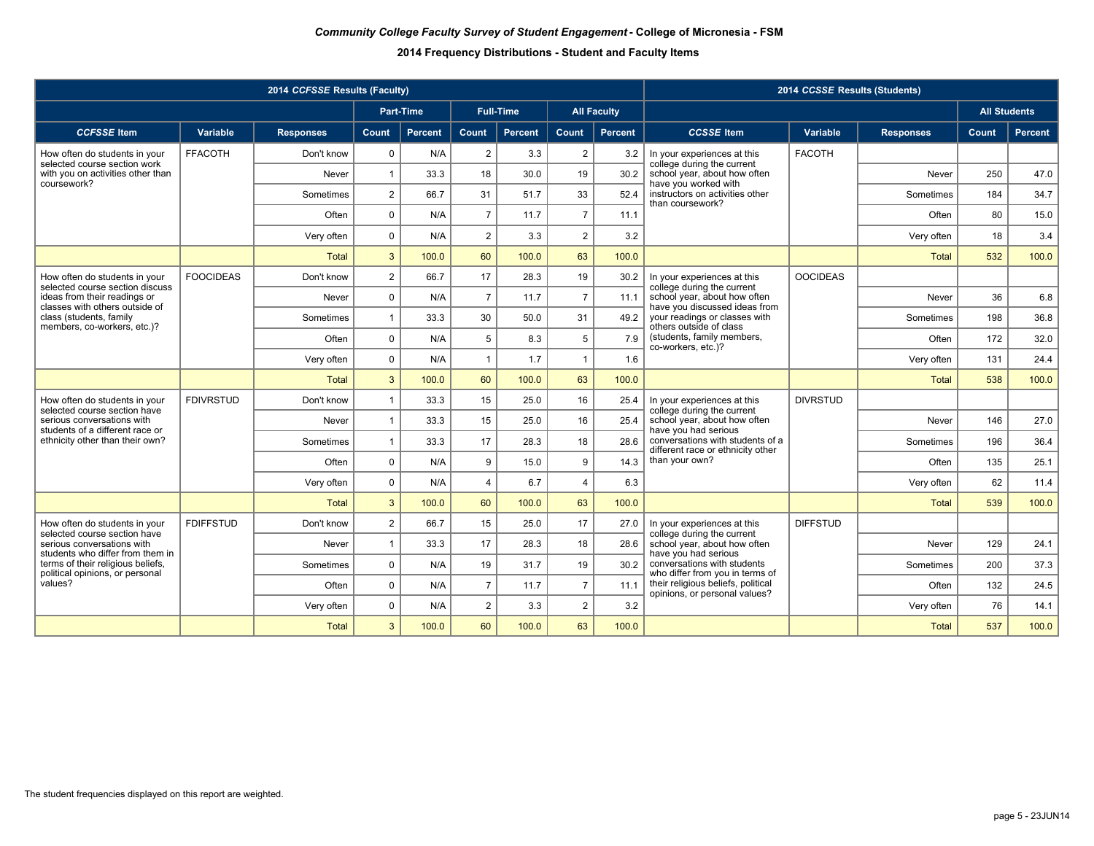|                                                                      |                  | 2014 CCFSSE Results (Faculty) |                |                  |                |                  |                |                    |                                                                       | 2014 CCSSE Results (Students) |                  |                     |                |
|----------------------------------------------------------------------|------------------|-------------------------------|----------------|------------------|----------------|------------------|----------------|--------------------|-----------------------------------------------------------------------|-------------------------------|------------------|---------------------|----------------|
|                                                                      |                  |                               |                | <b>Part-Time</b> |                | <b>Full-Time</b> |                | <b>All Faculty</b> |                                                                       |                               |                  | <b>All Students</b> |                |
| <b>CCFSSE</b> Item                                                   | Variable         | <b>Responses</b>              | Count          | Percent          | Count          | Percent          | Count          | Percent            | <b>CCSSE</b> Item                                                     | Variable                      | <b>Responses</b> | Count               | <b>Percent</b> |
| How often do students in your<br>selected course section work        | <b>FFACOTH</b>   | Don't know                    | $\mathbf 0$    | N/A              | $\overline{2}$ | 3.3              | $\sqrt{2}$     | 3.2                | In your experiences at this<br>college during the current             | <b>FACOTH</b>                 |                  |                     |                |
| with you on activities other than<br>coursework?                     |                  | Never                         | $\mathbf{1}$   | 33.3             | 18             | 30.0             | 19             | 30.2               | school year, about how often<br>have you worked with                  |                               | Never            | 250                 | 47.0           |
|                                                                      |                  | Sometimes                     | $\overline{2}$ | 66.7             | 31             | 51.7             | 33             | 52.4               | instructors on activities other<br>than coursework?                   |                               | Sometimes        | 184                 | 34.7           |
|                                                                      |                  | Often                         | 0              | N/A              | $\overline{7}$ | 11.7             | $\overline{7}$ | 11.1               |                                                                       |                               | Often            | 80                  | 15.0           |
|                                                                      |                  | Very often                    | $\mathsf 0$    | N/A              | $\overline{2}$ | 3.3              | $\overline{2}$ | 3.2                |                                                                       |                               | Very often       | 18                  | 3.4            |
|                                                                      |                  | Total                         | $\mathbf{3}$   | 100.0            | 60             | 100.0            | 63             | 100.0              |                                                                       |                               | Total            | 532                 | 100.0          |
| How often do students in your<br>selected course section discuss     | <b>FOOCIDEAS</b> | Don't know                    | $\overline{2}$ | 66.7             | 17             | 28.3             | 19             | 30.2               | In your experiences at this<br>college during the current             | <b>OOCIDEAS</b>               |                  |                     |                |
| ideas from their readings or<br>classes with others outside of       |                  | Never                         | 0              | N/A              | $\overline{7}$ | 11.7             | $\overline{7}$ | 11.1               | school year, about how often<br>have you discussed ideas from         |                               | Never            | 36                  | 6.8            |
| class (students, family<br>members, co-workers, etc.)?               |                  | Sometimes                     | $\mathbf{1}$   | 33.3             | 30             | 50.0             | 31             | 49.2               | your readings or classes with<br>others outside of class              |                               | Sometimes        | 198                 | 36.8           |
|                                                                      |                  | Often                         | 0              | N/A              | 5              | 8.3              | 5              | 7.9                | (students, family members,<br>co-workers, etc.)?                      |                               | Often            | 172                 | 32.0           |
|                                                                      |                  | Very often                    | 0              | N/A              | $\mathbf{1}$   | 1.7              | $\overline{1}$ | 1.6                |                                                                       |                               | Very often       | 131                 | 24.4           |
|                                                                      |                  | <b>Total</b>                  | 3              | 100.0            | 60             | 100.0            | 63             | 100.0              |                                                                       |                               | <b>Total</b>     | 538                 | 100.0          |
| How often do students in your<br>selected course section have        | <b>FDIVRSTUD</b> | Don't know                    | $\mathbf{1}$   | 33.3             | 15             | 25.0             | 16             | 25.4               | In your experiences at this<br>college during the current             | <b>DIVRSTUD</b>               |                  |                     |                |
| serious conversations with<br>students of a different race or        |                  | Never                         | $\mathbf{1}$   | 33.3             | 15             | 25.0             | 16             | 25.4               | school year, about how often<br>have you had serious                  |                               | Never            | 146                 | 27.0           |
| ethnicity other than their own?                                      |                  | Sometimes                     | $\mathbf{1}$   | 33.3             | 17             | 28.3             | 18             | 28.6               | conversations with students of a<br>different race or ethnicity other |                               | Sometimes        | 196                 | 36.4           |
|                                                                      |                  | Often                         | $\mathbf 0$    | N/A              | 9              | 15.0             | 9              | 14.3               | than your own?                                                        |                               | Often            | 135                 | 25.1           |
|                                                                      |                  | Very often                    | 0              | N/A              | $\overline{4}$ | 6.7              | $\overline{4}$ | 6.3                |                                                                       |                               | Very often       | 62                  | 11.4           |
|                                                                      |                  | <b>Total</b>                  | 3              | 100.0            | 60             | 100.0            | 63             | 100.0              |                                                                       |                               | <b>Total</b>     | 539                 | 100.0          |
| How often do students in your<br>selected course section have        | <b>FDIFFSTUD</b> | Don't know                    | $\overline{2}$ | 66.7             | 15             | 25.0             | 17             | 27.0               | In your experiences at this<br>college during the current             | <b>DIFFSTUD</b>               |                  |                     |                |
| serious conversations with<br>students who differ from them in       |                  | Never                         | $\mathbf{1}$   | 33.3             | 17             | 28.3             | 18             | 28.6               | school year, about how often<br>have you had serious                  |                               | Never            | 129                 | 24.1           |
| terms of their religious beliefs,<br>political opinions, or personal |                  | Sometimes                     | 0              | N/A              | 19             | 31.7             | 19             | 30.2               | conversations with students<br>who differ from you in terms of        |                               | Sometimes        | 200                 | 37.3           |
| values?                                                              |                  | Often                         | $\mathbf 0$    | N/A              | $\overline{7}$ | 11.7             | $\overline{7}$ | 11.1               | their religious beliefs, political<br>opinions, or personal values?   |                               | Often            | 132                 | 24.5           |
|                                                                      |                  | Very often                    | 0              | N/A              | $\overline{2}$ | 3.3              | $\overline{2}$ | 3.2                |                                                                       |                               | Very often       | 76                  | 14.1           |
|                                                                      |                  | <b>Total</b>                  | 3              | 100.0            | 60             | 100.0            | 63             | 100.0              |                                                                       |                               | <b>Total</b>     | 537                 | 100.0          |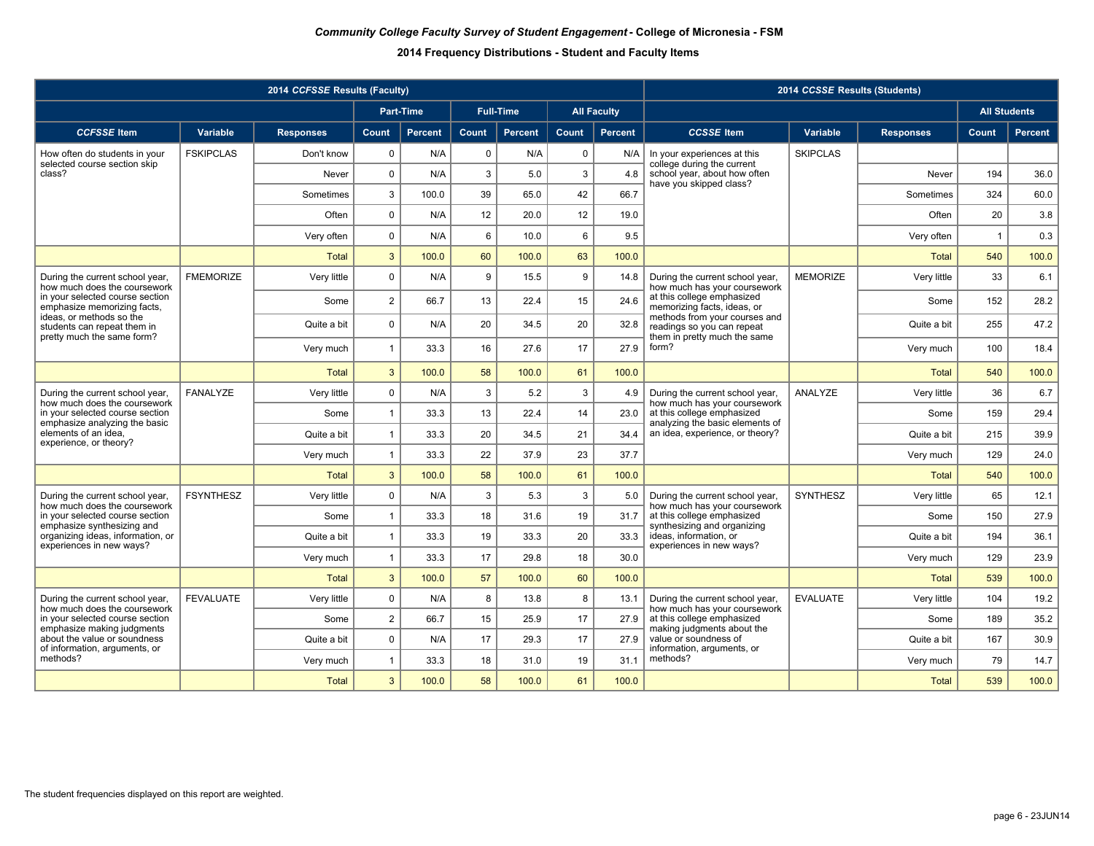|                                                                                                  |                  | 2014 CCFSSE Results (Faculty) |                |                |             |                  |              |                    |                                                                                               | 2014 CCSSE Results (Students) |                  |                |                     |
|--------------------------------------------------------------------------------------------------|------------------|-------------------------------|----------------|----------------|-------------|------------------|--------------|--------------------|-----------------------------------------------------------------------------------------------|-------------------------------|------------------|----------------|---------------------|
|                                                                                                  |                  |                               |                | Part-Time      |             | <b>Full-Time</b> |              | <b>All Faculty</b> |                                                                                               |                               |                  |                | <b>All Students</b> |
| <b>CCFSSE</b> Item                                                                               | Variable         | <b>Responses</b>              | Count          | <b>Percent</b> | Count       | Percent          | Count        | <b>Percent</b>     | <b>CCSSE</b> Item                                                                             | Variable                      | <b>Responses</b> | Count          | <b>Percent</b>      |
| How often do students in your                                                                    | <b>FSKIPCLAS</b> | Don't know                    | $\mathsf 0$    | N/A            | $\mathbf 0$ | N/A              | $\mathbf 0$  | N/A                | In your experiences at this                                                                   | <b>SKIPCLAS</b>               |                  |                |                     |
| selected course section skip<br>class?                                                           |                  | Never                         | 0              | N/A            | 3           | 5.0              | $\mathbf{3}$ | 4.8                | college during the current<br>school year, about how often<br>have you skipped class?         |                               | Never            | 194            | 36.0                |
|                                                                                                  |                  | Sometimes                     | 3              | 100.0          | 39          | 65.0             | 42           | 66.7               |                                                                                               |                               | Sometimes        | 324            | 60.0                |
|                                                                                                  |                  | Often                         | $\mathbf 0$    | N/A            | 12          | 20.0             | 12           | 19.0               |                                                                                               |                               | Often            | 20             | 3.8                 |
|                                                                                                  |                  | Very often                    | 0              | N/A            | 6           | 10.0             | 6            | 9.5                |                                                                                               |                               | Very often       | $\overline{1}$ | 0.3                 |
|                                                                                                  |                  | <b>Total</b>                  | 3              | 100.0          | 60          | 100.0            | 63           | 100.0              |                                                                                               |                               | <b>Total</b>     | 540            | 100.0               |
| During the current school year,<br>how much does the coursework                                  | <b>FMEMORIZE</b> | Very little                   | 0              | N/A            | $9\,$       | 15.5             | 9            | 14.8               | During the current school year,<br>how much has your coursework                               | <b>MEMORIZE</b>               | Very little      | 33             | 6.1                 |
| in your selected course section<br>emphasize memorizing facts,                                   |                  | Some                          | $\overline{2}$ | 66.7           | 13          | 22.4             | 15           | 24.6               | at this college emphasized<br>memorizing facts, ideas, or                                     |                               | Some             | 152            | 28.2                |
| ideas, or methods so the<br>students can repeat them in                                          |                  | Quite a bit                   | 0              | N/A            | 20          | 34.5             | 20           | 32.8               | methods from your courses and<br>readings so you can repeat                                   |                               | Quite a bit      | 255            | 47.2                |
| pretty much the same form?                                                                       |                  | Very much                     | $\mathbf{1}$   | 33.3           | 16          | 27.6             | 17           | 27.9               | them in pretty much the same<br>form?                                                         |                               | Very much        | 100            | 18.4                |
|                                                                                                  |                  | <b>Total</b>                  | $\mathbf{3}$   | 100.0          | 58          | 100.0            | 61           | 100.0              |                                                                                               |                               | Total            | 540            | 100.0               |
| During the current school year,                                                                  | FANALYZE         | Very little                   | 0              | N/A            | 3           | 5.2              | $\mathbf{3}$ | 4.9                | During the current school year,                                                               | ANALYZE                       | Very little      | 36             | 6.7                 |
| how much does the coursework<br>in your selected course section<br>emphasize analyzing the basic |                  | Some                          | $\mathbf{1}$   | 33.3           | 13          | 22.4             | 14           | 23.0               | how much has your coursework<br>at this college emphasized<br>analyzing the basic elements of |                               | Some             | 159            | 29.4                |
| elements of an idea.<br>experience, or theory?                                                   |                  | Quite a bit                   | $\mathbf{1}$   | 33.3           | 20          | 34.5             | 21           | 34.4               | an idea, experience, or theory?                                                               |                               | Quite a bit      | 215            | 39.9                |
|                                                                                                  |                  | Very much                     | $\mathbf{1}$   | 33.3           | 22          | 37.9             | 23           | 37.7               |                                                                                               |                               | Very much        | 129            | 24.0                |
|                                                                                                  |                  | Total                         | $\mathbf{3}$   | 100.0          | 58          | 100.0            | 61           | 100.0              |                                                                                               |                               | Total            | 540            | 100.0               |
| During the current school year,<br>how much does the coursework                                  | <b>FSYNTHESZ</b> | Very little                   | $\mathbf 0$    | N/A            | 3           | 5.3              | $\mathbf{3}$ | 5.0                | During the current school year,<br>how much has your coursework                               | <b>SYNTHESZ</b>               | Very little      | 65             | 12.1                |
| in your selected course section<br>emphasize synthesizing and                                    |                  | Some                          | $\mathbf{1}$   | 33.3           | 18          | 31.6             | 19           | 31.7               | at this college emphasized<br>synthesizing and organizing                                     |                               | Some             | 150            | 27.9                |
| organizing ideas, information, or<br>experiences in new ways?                                    |                  | Quite a bit                   | $\mathbf{1}$   | 33.3           | 19          | 33.3             | 20           | 33.3               | ideas. information, or<br>experiences in new ways?                                            |                               | Quite a bit      | 194            | 36.1                |
|                                                                                                  |                  | Very much                     | $\mathbf{1}$   | 33.3           | 17          | 29.8             | 18           | 30.0               |                                                                                               |                               | Very much        | 129            | 23.9                |
|                                                                                                  |                  | <b>Total</b>                  | $\overline{3}$ | 100.0          | 57          | 100.0            | 60           | 100.0              |                                                                                               |                               | <b>Total</b>     | 539            | 100.0               |
| During the current school year,<br>how much does the coursework                                  | FEVALUATE        | Very little                   | 0              | N/A            | 8           | 13.8             | 8            | 13.1               | During the current school year,<br>how much has your coursework                               | <b>EVALUATE</b>               | Very little      | 104            | 19.2                |
| in your selected course section<br>emphasize making judgments                                    |                  | Some                          | $\overline{2}$ | 66.7           | 15          | 25.9             | 17           | 27.9               | at this college emphasized<br>making judgments about the                                      |                               | Some             | 189            | 35.2                |
| about the value or soundness<br>of information, arguments, or                                    |                  | Quite a bit                   | 0              | N/A            | 17          | 29.3             | 17           | 27.9               | value or soundness of<br>information, arguments, or                                           |                               | Quite a bit      | 167            | 30.9                |
| methods?                                                                                         |                  | Very much                     | $\mathbf{1}$   | 33.3           | 18          | 31.0             | 19           | 31.1               | methods?                                                                                      |                               | Very much        | 79             | 14.7                |
|                                                                                                  |                  | <b>Total</b>                  | 3              | 100.0          | 58          | 100.0            | 61           | 100.0              |                                                                                               |                               | <b>Total</b>     | 539            | 100.0               |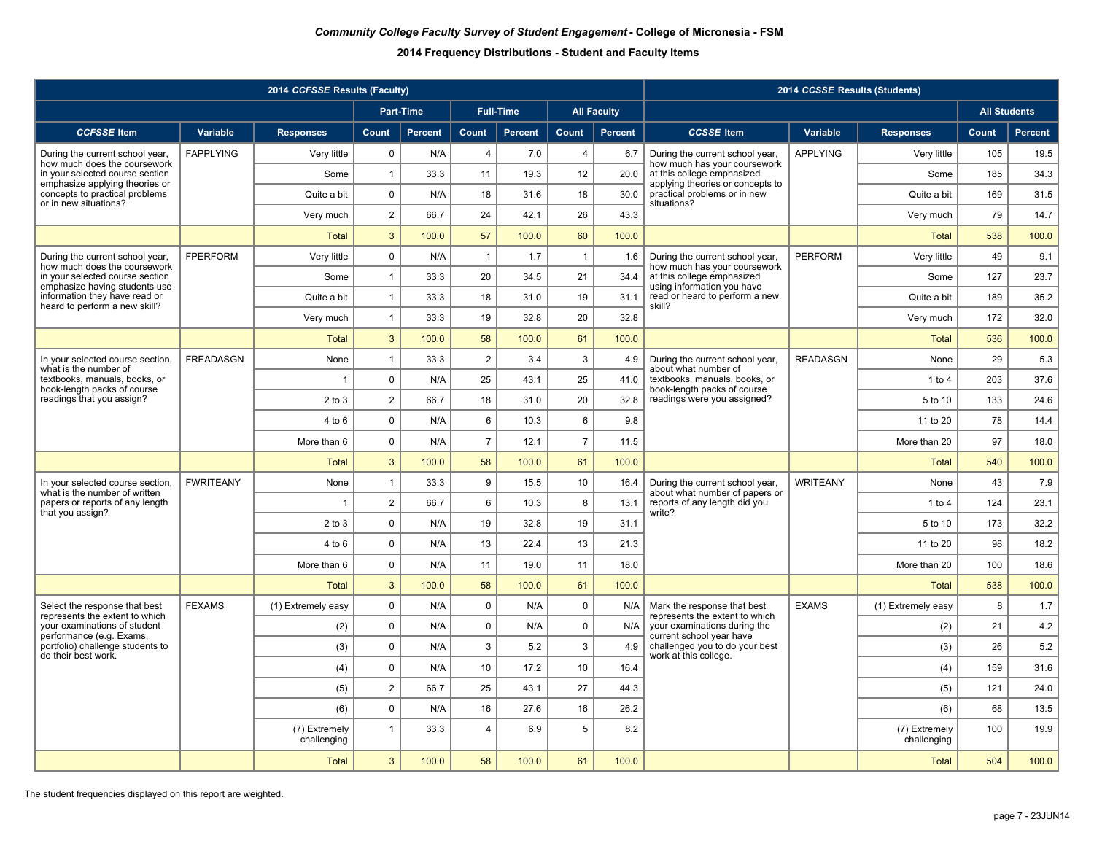|                                                                   |                  | 2014 CCFSSE Results (Faculty) |                  |                  |                  |                  |                |                    |                                                                   | 2014 CCSSE Results (Students) |                              |                     |                |
|-------------------------------------------------------------------|------------------|-------------------------------|------------------|------------------|------------------|------------------|----------------|--------------------|-------------------------------------------------------------------|-------------------------------|------------------------------|---------------------|----------------|
|                                                                   |                  |                               |                  | <b>Part-Time</b> |                  | <b>Full-Time</b> |                | <b>All Faculty</b> |                                                                   |                               |                              | <b>All Students</b> |                |
| <b>CCFSSE Item</b>                                                | Variable         | <b>Responses</b>              | Count            | Percent          | Count            | <b>Percent</b>   | Count          | <b>Percent</b>     | <b>CCSSE</b> Item                                                 | Variable                      | <b>Responses</b>             | Count               | <b>Percent</b> |
| During the current school year,<br>how much does the coursework   | <b>FAPPLYING</b> | Very little                   | $\pmb{0}$        | N/A              | $\overline{4}$   | 7.0              | $\overline{4}$ | 6.7                | During the current school year,<br>how much has your coursework   | <b>APPLYING</b>               | Very little                  | 105                 | 19.5           |
| in your selected course section<br>emphasize applying theories or |                  | Some                          | $\mathbf{1}$     | 33.3             | 11               | 19.3             | 12             | 20.0               | at this college emphasized<br>applying theories or concepts to    |                               | Some                         | 185                 | 34.3           |
| concepts to practical problems<br>or in new situations?           |                  | Quite a bit                   | $\Omega$         | N/A              | 18               | 31.6             | 18             | 30.0               | practical problems or in new<br>situations?                       |                               | Quite a bit                  | 169                 | 31.5           |
|                                                                   |                  | Very much                     | $\overline{2}$   | 66.7             | 24               | 42.1             | 26             | 43.3               |                                                                   |                               | Very much                    | 79                  | 14.7           |
|                                                                   |                  | <b>Total</b>                  | $\mathbf{3}$     | 100.0            | 57               | 100.0            | 60             | 100.0              |                                                                   |                               | <b>Total</b>                 | 538                 | 100.0          |
| During the current school year,<br>how much does the coursework   | <b>FPERFORM</b>  | Very little                   | $\mathbf 0$      | N/A              | $\overline{1}$   | 1.7              | $\overline{1}$ | 1.6                | During the current school year,<br>how much has your coursework   | <b>PERFORM</b>                | Very little                  | 49                  | 9.1            |
| in your selected course section<br>emphasize having students use  |                  | Some                          | $\mathbf{1}$     | 33.3             | 20               | 34.5             | 21             | 34.4               | at this college emphasized<br>using information you have          |                               | Some                         | 127                 | 23.7           |
| information they have read or<br>heard to perform a new skill?    |                  | Quite a bit                   | $\mathbf{1}$     | 33.3             | 18               | 31.0             | 19             | 31.1               | read or heard to perform a new<br>skill?                          |                               | Quite a bit                  | 189                 | 35.2           |
|                                                                   |                  | Very much                     | $\mathbf{1}$     | 33.3             | 19               | 32.8             | 20             | 32.8               |                                                                   |                               | Very much                    | 172                 | 32.0           |
|                                                                   |                  | <b>Total</b>                  | $\mathbf{3}$     | 100.0            | 58               | 100.0            | 61             | 100.0              |                                                                   |                               | <b>Total</b>                 | 536                 | 100.0          |
| In your selected course section,<br>what is the number of         | <b>FREADASGN</b> | None                          | $\mathbf{1}$     | 33.3             | $\overline{2}$   | 3.4              | $\mathbf{3}$   | 4.9                | During the current school year,<br>about what number of           | <b>READASGN</b>               | None                         | 29                  | 5.3            |
| textbooks, manuals, books, or<br>book-length packs of course      |                  | $\overline{1}$                | $\mathbf 0$      | N/A              | 25               | 43.1             | 25             | 41.0               | textbooks, manuals, books, or<br>book-length packs of course      |                               | 1 to 4                       | 203                 | 37.6           |
| readings that you assign?                                         |                  | $2$ to $3$                    | $\overline{2}$   | 66.7             | 18               | 31.0             | 20             | 32.8               | readings were you assigned?                                       |                               | 5 to 10                      | 133                 | 24.6           |
|                                                                   |                  | $4$ to $6$                    | $\pmb{0}$        | N/A              | 6                | 10.3             | 6              | 9.8                |                                                                   |                               | 11 to 20                     | 78                  | 14.4           |
|                                                                   |                  | More than 6                   | $\pmb{0}$        | N/A              | $\overline{7}$   | 12.1             | $\overline{7}$ | 11.5               |                                                                   |                               | More than 20                 | 97                  | 18.0           |
|                                                                   |                  | <b>Total</b>                  | $\mathbf{3}$     | 100.0            | 58               | 100.0            | 61             | 100.0              |                                                                   |                               | <b>Total</b>                 | 540                 | 100.0          |
| In your selected course section,<br>what is the number of written | <b>FWRITEANY</b> | None                          | $\mathbf{1}$     | 33.3             | $\boldsymbol{9}$ | 15.5             | 10             | 16.4               | During the current school year,<br>about what number of papers or | <b>WRITEANY</b>               | None                         | 43                  | 7.9            |
| papers or reports of any length<br>that you assign?               |                  | $\overline{1}$                | $\boldsymbol{2}$ | 66.7             | 6                | 10.3             | 8              | 13.1               | reports of any length did you<br>write?                           |                               | 1 to 4                       | 124                 | 23.1           |
|                                                                   |                  | $2$ to $3$                    | $\mathbf 0$      | N/A              | 19               | 32.8             | 19             | 31.1               |                                                                   |                               | 5 to 10                      | 173                 | 32.2           |
|                                                                   |                  | $4$ to $6$                    | $\pmb{0}$        | N/A              | 13               | 22.4             | 13             | 21.3               |                                                                   |                               | 11 to 20                     | 98                  | 18.2           |
|                                                                   |                  | More than 6                   | $\mathbf 0$      | N/A              | 11               | 19.0             | 11             | 18.0               |                                                                   |                               | More than 20                 | 100                 | 18.6           |
|                                                                   |                  | Total                         | 3                | 100.0            | 58               | 100.0            | 61             | 100.0              |                                                                   |                               | <b>Total</b>                 | 538                 | 100.0          |
| Select the response that best<br>represents the extent to which   | <b>FEXAMS</b>    | (1) Extremely easy            | $\mathbf 0$      | N/A              | $\mathbf 0$      | N/A              | $\Omega$       | N/A                | Mark the response that best<br>represents the extent to which     | <b>EXAMS</b>                  | (1) Extremely easy           | 8                   | 1.7            |
| your examinations of student<br>performance (e.g. Exams,          |                  | (2)                           | $\pmb{0}$        | N/A              | $\mathbf 0$      | N/A              | $\mathbf 0$    | N/A                | your examinations during the<br>current school year have          |                               | (2)                          | 21                  | 4.2            |
| portfolio) challenge students to<br>do their best work.           |                  | (3)                           | $\mathbf 0$      | N/A              | 3                | 5.2              | $\mathbf{3}$   | 4.9                | challenged you to do your best<br>work at this college.           |                               | (3)                          | 26                  | 5.2            |
|                                                                   |                  | (4)                           | $\mathbf 0$      | N/A              | 10               | 17.2             | 10             | 16.4               |                                                                   |                               | (4)                          | 159                 | 31.6           |
|                                                                   |                  | (5)                           | $\overline{2}$   | 66.7             | 25               | 43.1             | 27             | 44.3               |                                                                   |                               | (5)                          | 121                 | 24.0           |
|                                                                   |                  | (6)                           | $\mathbf 0$      | N/A              | 16               | 27.6             | 16             | 26.2               |                                                                   |                               | (6)                          | 68                  | 13.5           |
|                                                                   |                  | (7) Extremely<br>challenging  | $\mathbf{1}$     | 33.3             | $\overline{4}$   | 6.9              | 5              | 8.2                |                                                                   |                               | (7) Extremely<br>challenging | 100                 | 19.9           |
|                                                                   |                  | <b>Total</b>                  | $\mathbf{3}$     | 100.0            | 58               | 100.0            | 61             | 100.0              |                                                                   |                               | <b>Total</b>                 | 504                 | 100.0          |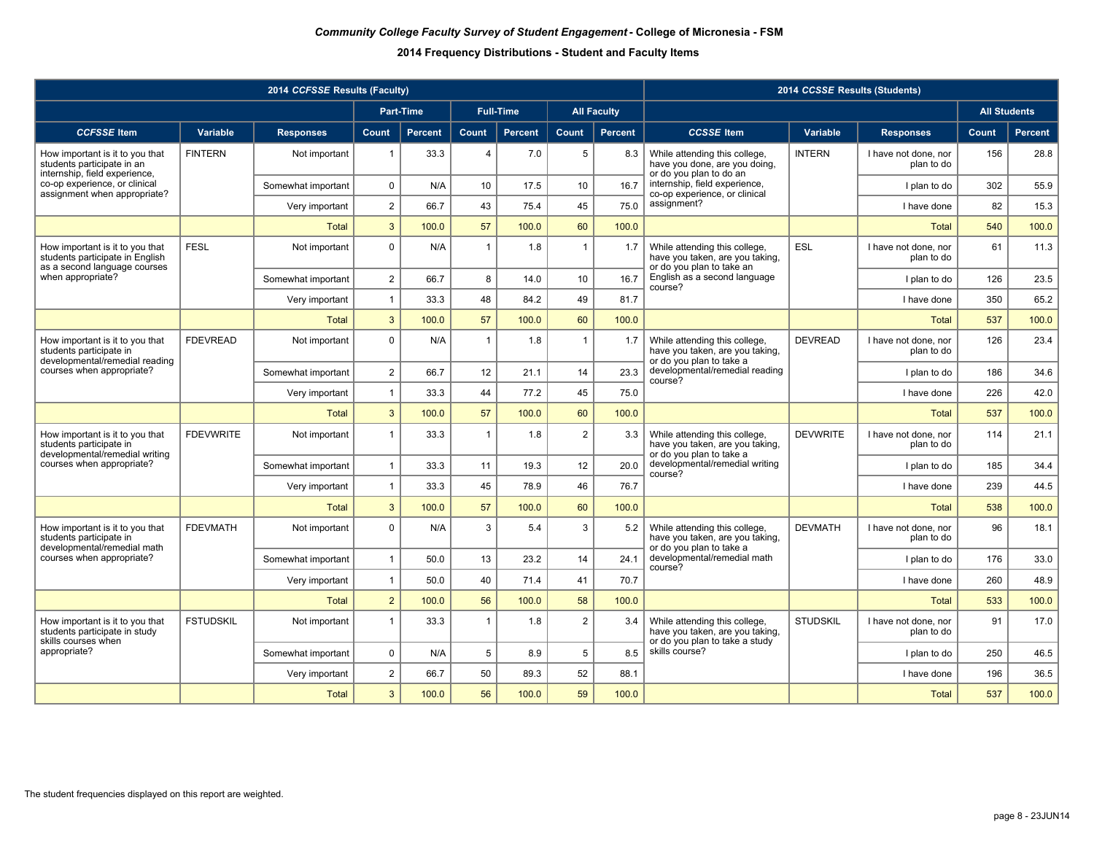|                                                                                                    |                  | 2014 CCFSSE Results (Faculty) |                |           |                |                  |                 |                    |                                                                                                    | 2014 CCSSE Results (Students) |                                    |       |                     |
|----------------------------------------------------------------------------------------------------|------------------|-------------------------------|----------------|-----------|----------------|------------------|-----------------|--------------------|----------------------------------------------------------------------------------------------------|-------------------------------|------------------------------------|-------|---------------------|
|                                                                                                    |                  |                               |                | Part-Time |                | <b>Full-Time</b> |                 | <b>All Faculty</b> |                                                                                                    |                               |                                    |       | <b>All Students</b> |
| <b>CCFSSE</b> Item                                                                                 | Variable         | <b>Responses</b>              | Count          | Percent   | Count          | <b>Percent</b>   | Count           | <b>Percent</b>     | <b>CCSSE</b> Item                                                                                  | Variable                      | <b>Responses</b>                   | Count | <b>Percent</b>      |
| How important is it to you that<br>students participate in an                                      | <b>FINTERN</b>   | Not important                 | $\mathbf{1}$   | 33.3      | $\overline{4}$ | 7.0              | 5               | 8.3                | While attending this college,<br>have you done, are you doing,                                     | <b>INTERN</b>                 | I have not done, nor<br>plan to do | 156   | 28.8                |
| internship, field experience,<br>co-op experience, or clinical<br>assignment when appropriate?     |                  | Somewhat important            | $\mathbf 0$    | N/A       | 10             | 17.5             | 10 <sup>1</sup> | 16.7               | or do you plan to do an<br>internship, field experience,<br>co-op experience, or clinical          |                               | I plan to do                       | 302   | 55.9                |
|                                                                                                    |                  | Very important                | $\overline{2}$ | 66.7      | 43             | 75.4             | 45              | 75.0               | assignment?                                                                                        |                               | I have done                        | 82    | 15.3                |
|                                                                                                    |                  | <b>Total</b>                  | $\mathbf{3}$   | 100.0     | 57             | 100.0            | 60              | 100.0              |                                                                                                    |                               | <b>Total</b>                       | 540   | 100.0               |
| How important is it to you that<br>students participate in English<br>as a second language courses | <b>FESL</b>      | Not important                 | $\mathbf 0$    | N/A       | $\overline{1}$ | 1.8              | $\mathbf{1}$    | 1.7                | While attending this college,<br>have you taken, are you taking,<br>or do you plan to take an      | <b>ESL</b>                    | I have not done, nor<br>plan to do | 61    | 11.3                |
| when appropriate?                                                                                  |                  | Somewhat important            | $\overline{2}$ | 66.7      | 8              | 14.0             | 10              | 16.7               | English as a second language<br>course?                                                            |                               | I plan to do                       | 126   | 23.5                |
|                                                                                                    |                  | Very important                | $\mathbf{1}$   | 33.3      | 48             | 84.2             | 49              | 81.7               |                                                                                                    |                               | I have done                        | 350   | 65.2                |
|                                                                                                    |                  | <b>Total</b>                  | $\overline{3}$ | 100.0     | 57             | 100.0            | 60              | 100.0              |                                                                                                    |                               | <b>Total</b>                       | 537   | 100.0               |
| How important is it to you that<br>students participate in<br>developmental/remedial reading       | <b>FDEVREAD</b>  | Not important                 | $\mathbf 0$    | N/A       | $\overline{1}$ | 1.8              | $\overline{1}$  | 1.7                | While attending this college,<br>have you taken, are you taking,<br>or do you plan to take a       | <b>DEVREAD</b>                | I have not done, nor<br>plan to do | 126   | 23.4                |
| courses when appropriate?                                                                          |                  | Somewhat important            | $\overline{2}$ | 66.7      | 12             | 21.1             | 14              | 23.3               | developmental/remedial reading<br>course?                                                          |                               | I plan to do                       | 186   | 34.6                |
|                                                                                                    |                  | Very important                | $\mathbf{1}$   | 33.3      | 44             | 77.2             | 45              | 75.0               |                                                                                                    |                               | I have done                        | 226   | 42.0                |
|                                                                                                    |                  | Total                         | $\sqrt{3}$     | 100.0     | 57             | 100.0            | 60              | 100.0              |                                                                                                    |                               | <b>Total</b>                       | 537   | 100.0               |
| How important is it to you that<br>students participate in<br>developmental/remedial writing       | <b>FDEVWRITE</b> | Not important                 | $\mathbf{1}$   | 33.3      | $\overline{1}$ | 1.8              | $\overline{2}$  | 3.3                | While attending this college,<br>have you taken, are you taking,<br>or do you plan to take a       | <b>DEVWRITE</b>               | I have not done, nor<br>plan to do | 114   | 21.1                |
| courses when appropriate?                                                                          |                  | Somewhat important            | $\mathbf{1}$   | 33.3      | 11             | 19.3             | 12              | 20.0               | developmental/remedial writing<br>course?                                                          |                               | I plan to do                       | 185   | 34.4                |
|                                                                                                    |                  | Very important                | $\mathbf{1}$   | 33.3      | 45             | 78.9             | 46              | 76.7               |                                                                                                    |                               | I have done                        | 239   | 44.5                |
|                                                                                                    |                  | Total                         | $\mathbf{3}$   | 100.0     | 57             | 100.0            | 60              | 100.0              |                                                                                                    |                               | Total                              | 538   | 100.0               |
| How important is it to you that<br>students participate in<br>developmental/remedial math          | <b>FDEVMATH</b>  | Not important                 | $\mathbf 0$    | N/A       | 3              | 5.4              | 3               | 5.2                | While attending this college,<br>have you taken, are you taking,<br>or do you plan to take a       | <b>DEVMATH</b>                | I have not done, nor<br>plan to do | 96    | 18.1                |
| courses when appropriate?                                                                          |                  | Somewhat important            | $\mathbf{1}$   | 50.0      | 13             | 23.2             | 14              | 24.1               | developmental/remedial math<br>course?                                                             |                               | I plan to do                       | 176   | 33.0                |
|                                                                                                    |                  | Very important                | $\mathbf{1}$   | 50.0      | 40             | 71.4             | 41              | 70.7               |                                                                                                    |                               | I have done                        | 260   | 48.9                |
|                                                                                                    |                  | <b>Total</b>                  | $\overline{2}$ | 100.0     | 56             | 100.0            | 58              | 100.0              |                                                                                                    |                               | <b>Total</b>                       | 533   | 100.0               |
| How important is it to you that<br>students participate in study<br>skills courses when            | <b>FSTUDSKIL</b> | Not important                 | $\mathbf{1}$   | 33.3      | $\overline{1}$ | 1.8              | $\overline{2}$  | 3.4                | While attending this college,<br>have you taken, are you taking,<br>or do you plan to take a study | <b>STUDSKIL</b>               | I have not done, nor<br>plan to do | 91    | 17.0                |
| appropriate?                                                                                       |                  | Somewhat important            | $\mathbf 0$    | N/A       | $\overline{5}$ | 8.9              | 5               | 8.5                | skills course?                                                                                     |                               | I plan to do                       | 250   | 46.5                |
|                                                                                                    |                  | Very important                | $\overline{2}$ | 66.7      | 50             | 89.3             | 52              | 88.1               |                                                                                                    |                               | I have done                        | 196   | 36.5                |
|                                                                                                    |                  | <b>Total</b>                  | 3              | 100.0     | 56             | 100.0            | 59              | 100.0              |                                                                                                    |                               | <b>Total</b>                       | 537   | 100.0               |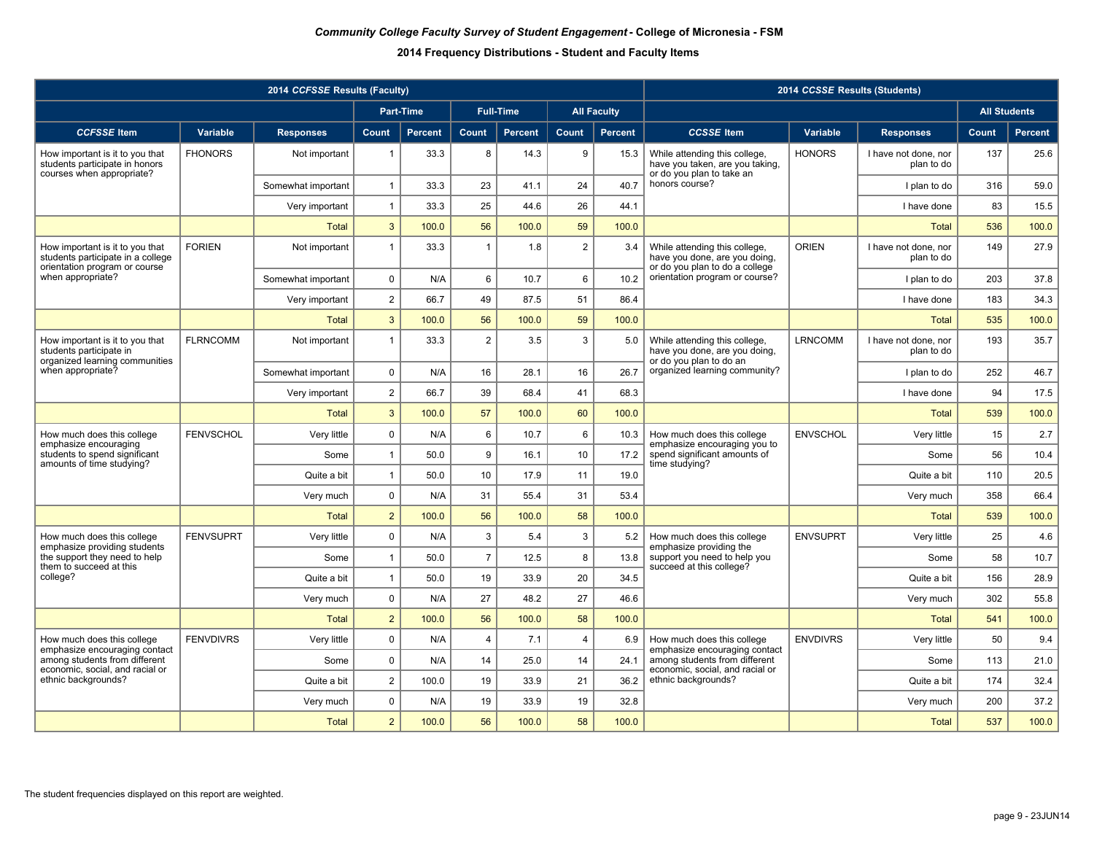|                                                                                                       |                  | 2014 CCFSSE Results (Faculty) |                |                  |                |                  |                 |                    |                                                                                                  | 2014 CCSSE Results (Students) |                                    |                     |                |
|-------------------------------------------------------------------------------------------------------|------------------|-------------------------------|----------------|------------------|----------------|------------------|-----------------|--------------------|--------------------------------------------------------------------------------------------------|-------------------------------|------------------------------------|---------------------|----------------|
|                                                                                                       |                  |                               |                | <b>Part-Time</b> |                | <b>Full-Time</b> |                 | <b>All Faculty</b> |                                                                                                  |                               |                                    | <b>All Students</b> |                |
| <b>CCFSSE</b> Item                                                                                    | Variable         | <b>Responses</b>              | Count          | Percent          | <b>Count</b>   | <b>Percent</b>   | <b>Count</b>    | <b>Percent</b>     | <b>CCSSE</b> Item                                                                                | Variable                      | <b>Responses</b>                   | Count               | <b>Percent</b> |
| How important is it to you that<br>students participate in honors<br>courses when appropriate?        | <b>FHONORS</b>   | Not important                 | $\mathbf 1$    | 33.3             | 8              | 14.3             | 9               | 15.3               | While attending this college,<br>have you taken, are you taking,<br>or do you plan to take an    | <b>HONORS</b>                 | I have not done, nor<br>plan to do | 137                 | 25.6           |
|                                                                                                       |                  | Somewhat important            | $\mathbf{1}$   | 33.3             | 23             | 41.1             | 24              | 40.7               | honors course?                                                                                   |                               | I plan to do                       | 316                 | 59.0           |
|                                                                                                       |                  | Very important                | $\mathbf{1}$   | 33.3             | 25             | 44.6             | 26              | 44.1               |                                                                                                  |                               | I have done                        | 83                  | 15.5           |
|                                                                                                       |                  | Total                         | $\mathbf{3}$   | 100.0            | 56             | 100.0            | 59              | 100.0              |                                                                                                  |                               | Total                              | 536                 | 100.0          |
| How important is it to you that<br>students participate in a college<br>orientation program or course | <b>FORIEN</b>    | Not important                 | $\mathbf{1}$   | 33.3             | $\overline{1}$ | 1.8              | $\overline{2}$  | 3.4                | While attending this college,<br>have you done, are you doing,<br>or do you plan to do a college | <b>ORIEN</b>                  | I have not done, nor<br>plan to do | 149                 | 27.9           |
| when appropriate?                                                                                     |                  | Somewhat important            | $\mathbf 0$    | N/A              | 6              | 10.7             | 6               | 10.2               | orientation program or course?                                                                   |                               | I plan to do                       | 203                 | 37.8           |
|                                                                                                       |                  | Very important                | $\overline{2}$ | 66.7             | 49             | 87.5             | 51              | 86.4               |                                                                                                  |                               | I have done                        | 183                 | 34.3           |
|                                                                                                       |                  | <b>Total</b>                  | $\mathbf{3}$   | 100.0            | 56             | 100.0            | 59              | 100.0              |                                                                                                  |                               | <b>Total</b>                       | 535                 | 100.0          |
| How important is it to you that<br>students participate in<br>organized learning communities          | <b>FLRNCOMM</b>  | Not important                 | $\overline{1}$ | 33.3             | $\overline{2}$ | 3.5              | $\overline{3}$  | 5.0                | While attending this college,<br>have you done, are you doing,<br>or do you plan to do an        | <b>LRNCOMM</b>                | I have not done, nor<br>plan to do | 193                 | 35.7           |
| when appropriate?                                                                                     |                  | Somewhat important            | $\mathbf 0$    | N/A              | 16             | 28.1             | 16              | 26.7               | organized learning community?                                                                    |                               | I plan to do                       | 252                 | 46.7           |
|                                                                                                       |                  | Very important                | $\overline{2}$ | 66.7             | 39             | 68.4             | 41              | 68.3               |                                                                                                  |                               | I have done                        | 94                  | 17.5           |
|                                                                                                       |                  | <b>Total</b>                  | $\mathbf{3}$   | 100.0            | 57             | 100.0            | 60              | 100.0              |                                                                                                  |                               | <b>Total</b>                       | 539                 | 100.0          |
| How much does this college<br>emphasize encouraging                                                   | <b>FENVSCHOL</b> | Very little                   | $\pmb{0}$      | N/A              | 6              | 10.7             | 6               | 10.3               | How much does this college<br>emphasize encouraging you to                                       | <b>ENVSCHOL</b>               | Very little                        | 15                  | 2.7            |
| students to spend significant<br>amounts of time studying?                                            |                  | Some                          | $\mathbf{1}$   | 50.0             | 9              | 16.1             | 10 <sup>1</sup> | 17.2               | spend significant amounts of<br>time studying?                                                   |                               | Some                               | 56                  | 10.4           |
|                                                                                                       |                  | Quite a bit                   | $\mathbf{1}$   | 50.0             | 10             | 17.9             | 11              | 19.0               |                                                                                                  |                               | Quite a bit                        | 110                 | 20.5           |
|                                                                                                       |                  | Very much                     | $\mathbf 0$    | N/A              | 31             | 55.4             | 31              | 53.4               |                                                                                                  |                               | Very much                          | 358                 | 66.4           |
|                                                                                                       |                  | Total                         | $\overline{2}$ | 100.0            | 56             | 100.0            | 58              | 100.0              |                                                                                                  |                               | <b>Total</b>                       | 539                 | 100.0          |
| How much does this college<br>emphasize providing students                                            | <b>FENVSUPRT</b> | Very little                   | $\mathbf 0$    | N/A              | 3              | 5.4              | 3               | 5.2                | How much does this college<br>emphasize providing the                                            | <b>ENVSUPRT</b>               | Very little                        | 25                  | 4.6            |
| the support they need to help<br>them to succeed at this                                              |                  | Some                          | $\mathbf{1}$   | 50.0             | $\overline{7}$ | 12.5             | 8               | 13.8               | support you need to help you<br>succeed at this college?                                         |                               | Some                               | 58                  | 10.7           |
| college?                                                                                              |                  | Quite a bit                   | $\mathbf{1}$   | 50.0             | 19             | 33.9             | 20              | 34.5               |                                                                                                  |                               | Quite a bit                        | 156                 | 28.9           |
|                                                                                                       |                  | Very much                     | $\mathbf 0$    | N/A              | 27             | 48.2             | 27              | 46.6               |                                                                                                  |                               | Very much                          | 302                 | 55.8           |
|                                                                                                       |                  | <b>Total</b>                  | $\overline{2}$ | 100.0            | 56             | 100.0            | 58              | 100.0              |                                                                                                  |                               | <b>Total</b>                       | 541                 | 100.0          |
| How much does this college<br>emphasize encouraging contact                                           | <b>FENVDIVRS</b> | Very little                   | $\mathbf 0$    | N/A              | $\overline{4}$ | 7.1              | $\overline{4}$  | 6.9                | How much does this college<br>emphasize encouraging contact                                      | <b>ENVDIVRS</b>               | Very little                        | 50                  | 9.4            |
| among students from different<br>economic, social, and racial or                                      |                  | Some                          | $\mathbf 0$    | N/A              | 14             | 25.0             | 14              | 24.1               | among students from different<br>economic, social, and racial or                                 |                               | Some                               | 113                 | 21.0           |
| ethnic backgrounds?                                                                                   |                  | Quite a bit                   | $\overline{2}$ | 100.0            | 19             | 33.9             | 21              | 36.2               | ethnic backgrounds?                                                                              |                               | Quite a bit                        | 174                 | 32.4           |
|                                                                                                       |                  | Very much                     | $\mathbf 0$    | N/A              | 19             | 33.9             | 19              | 32.8               |                                                                                                  |                               | Very much                          | 200                 | 37.2           |
|                                                                                                       |                  | <b>Total</b>                  | $\overline{2}$ | 100.0            | 56             | 100.0            | 58              | 100.0              |                                                                                                  |                               | <b>Total</b>                       | 537                 | 100.0          |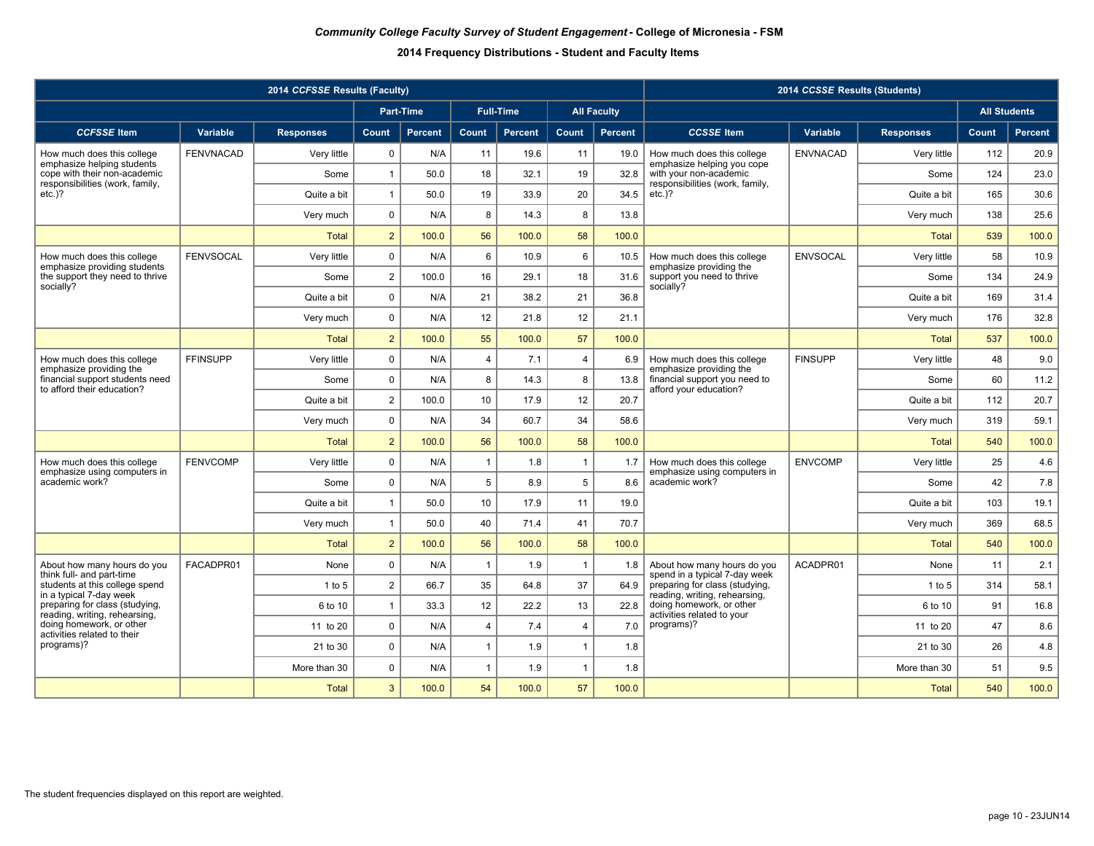|                                                                                               |                  | 2014 CCFSSE Results (Faculty) |                |                  |                |                  |                |                    |                                                                                         | 2014 CCSSE Results (Students) |                  |                     |                |
|-----------------------------------------------------------------------------------------------|------------------|-------------------------------|----------------|------------------|----------------|------------------|----------------|--------------------|-----------------------------------------------------------------------------------------|-------------------------------|------------------|---------------------|----------------|
|                                                                                               |                  |                               |                | <b>Part-Time</b> |                | <b>Full-Time</b> |                | <b>All Faculty</b> |                                                                                         |                               |                  | <b>All Students</b> |                |
| <b>CCFSSE Item</b>                                                                            | Variable         | <b>Responses</b>              | Count          | Percent          | Count          | Percent          | Count          | <b>Percent</b>     | <b>CCSSE</b> Item                                                                       | Variable                      | <b>Responses</b> | Count               | <b>Percent</b> |
| How much does this college                                                                    | <b>FENVNACAD</b> | Very little                   | $\mathsf 0$    | N/A              | 11             | 19.6             | 11             | 19.0               | How much does this college                                                              | <b>ENVNACAD</b>               | Very little      | 112                 | 20.9           |
| emphasize helping students<br>cope with their non-academic<br>responsibilities (work, family, |                  | Some                          | $\mathbf{1}$   | 50.0             | 18             | 32.1             | 19             | 32.8               | emphasize helping you cope<br>with your non-academic<br>responsibilities (work, family, |                               | Some             | 124                 | 23.0           |
| $etc.$ )?                                                                                     |                  | Quite a bit                   | $\mathbf{1}$   | 50.0             | 19             | 33.9             | 20             | 34.5               | $etc.$ )?                                                                               |                               | Quite a bit      | 165                 | 30.6           |
|                                                                                               |                  | Very much                     | $\mathsf 0$    | N/A              | 8              | 14.3             | 8              | 13.8               |                                                                                         |                               | Very much        | 138                 | 25.6           |
|                                                                                               |                  | <b>Total</b>                  | $\overline{2}$ | 100.0            | 56             | 100.0            | 58             | 100.0              |                                                                                         |                               | <b>Total</b>     | 539                 | 100.0          |
| How much does this college<br>emphasize providing students                                    | <b>FENVSOCAL</b> | Very little                   | $\mathsf 0$    | N/A              | 6              | 10.9             | 6              | 10.5               | How much does this college<br>emphasize providing the                                   | <b>ENVSOCAL</b>               | Very little      | 58                  | 10.9           |
| the support they need to thrive<br>socially?                                                  |                  | Some                          | $\overline{2}$ | 100.0            | 16             | 29.1             | 18             | 31.6               | support you need to thrive<br>socially?                                                 |                               | Some             | 134                 | 24.9           |
|                                                                                               |                  | Quite a bit                   | $\mathbf 0$    | N/A              | 21             | 38.2             | 21             | 36.8               |                                                                                         |                               | Quite a bit      | 169                 | 31.4           |
|                                                                                               |                  | Very much                     | $\mathsf 0$    | N/A              | 12             | 21.8             | 12             | 21.1               |                                                                                         |                               | Very much        | 176                 | 32.8           |
|                                                                                               |                  | <b>Total</b>                  | $\overline{2}$ | 100.0            | 55             | 100.0            | 57             | 100.0              |                                                                                         |                               | <b>Total</b>     | 537                 | 100.0          |
| How much does this college<br>emphasize providing the                                         | <b>FFINSUPP</b>  | Very little                   | 0              | N/A              | $\overline{4}$ | 7.1              | $\overline{4}$ | 6.9                | How much does this college<br>emphasize providing the                                   | <b>FINSUPP</b>                | Very little      | 48                  | 9.0            |
| financial support students need<br>to afford their education?                                 |                  | Some                          | $\mathsf 0$    | N/A              | 8              | 14.3             | 8              | 13.8               | financial support you need to<br>afford your education?                                 |                               | Some             | 60                  | 11.2           |
|                                                                                               |                  | Quite a bit                   | $\overline{2}$ | 100.0            | 10             | 17.9             | 12             | 20.7               |                                                                                         |                               | Quite a bit      | 112                 | 20.7           |
|                                                                                               |                  | Very much                     | $\mathbf 0$    | N/A              | 34             | 60.7             | 34             | 58.6               |                                                                                         |                               | Very much        | 319                 | 59.1           |
|                                                                                               |                  | <b>Total</b>                  | $\overline{2}$ | 100.0            | 56             | 100.0            | 58             | 100.0              |                                                                                         |                               | <b>Total</b>     | 540                 | 100.0          |
| How much does this college<br>emphasize using computers in                                    | <b>FENVCOMP</b>  | Very little                   | $\mathbf 0$    | N/A              | $\mathbf{1}$   | 1.8              | $\overline{1}$ | 1.7                | How much does this college<br>emphasize using computers in                              | <b>ENVCOMP</b>                | Very little      | 25                  | 4.6            |
| academic work?                                                                                |                  | Some                          | $\mathbf 0$    | N/A              | 5              | 8.9              | 5              | 8.6                | academic work?                                                                          |                               | Some             | 42                  | 7.8            |
|                                                                                               |                  | Quite a bit                   | $\mathbf{1}$   | 50.0             | 10             | 17.9             | 11             | 19.0               |                                                                                         |                               | Quite a bit      | 103                 | 19.1           |
|                                                                                               |                  | Very much                     | $\mathbf{1}$   | 50.0             | 40             | 71.4             | 41             | 70.7               |                                                                                         |                               | Very much        | 369                 | 68.5           |
|                                                                                               |                  | <b>Total</b>                  | $\overline{2}$ | 100.0            | 56             | 100.0            | 58             | 100.0              |                                                                                         |                               | Total            | 540                 | 100.0          |
| About how many hours do you<br>think full- and part-time                                      | FACADPR01        | None                          | $\mathbf 0$    | N/A              | $\mathbf{1}$   | 1.9              | $\overline{1}$ | 1.8                | About how many hours do you<br>spend in a typical 7-day week                            | ACADPR01                      | None             | 11                  | 2.1            |
| students at this college spend<br>in a typical 7-day week                                     |                  | 1 to 5                        | $\overline{2}$ | 66.7             | 35             | 64.8             | 37             | 64.9               | preparing for class (studying,<br>reading, writing, rehearsing,                         |                               | 1 to 5           | 314                 | 58.1           |
| preparing for class (studying,<br>reading, writing, rehearsing,                               |                  | 6 to 10                       | $\mathbf{1}$   | 33.3             | 12             | 22.2             | 13             | 22.8               | doing homework, or other<br>activities related to your                                  |                               | 6 to 10          | 91                  | 16.8           |
| doing homework, or other<br>activities related to their                                       |                  | 11 to 20                      | 0              | N/A              | $\overline{4}$ | 7.4              | $\overline{4}$ | 7.0                | programs)?                                                                              |                               | 11 to 20         | 47                  | 8.6            |
| programs)?                                                                                    |                  | 21 to 30                      | $\mathbf 0$    | N/A              | $\mathbf{1}$   | 1.9              | $\mathbf{1}$   | 1.8                |                                                                                         |                               | 21 to 30         | 26                  | 4.8            |
|                                                                                               |                  | More than 30                  | 0              | N/A              | $\mathbf{1}$   | 1.9              | $\overline{1}$ | 1.8                |                                                                                         |                               | More than 30     | 51                  | 9.5            |
|                                                                                               |                  | <b>Total</b>                  | 3              | 100.0            | 54             | 100.0            | 57             | 100.0              |                                                                                         |                               | <b>Total</b>     | 540                 | 100.0          |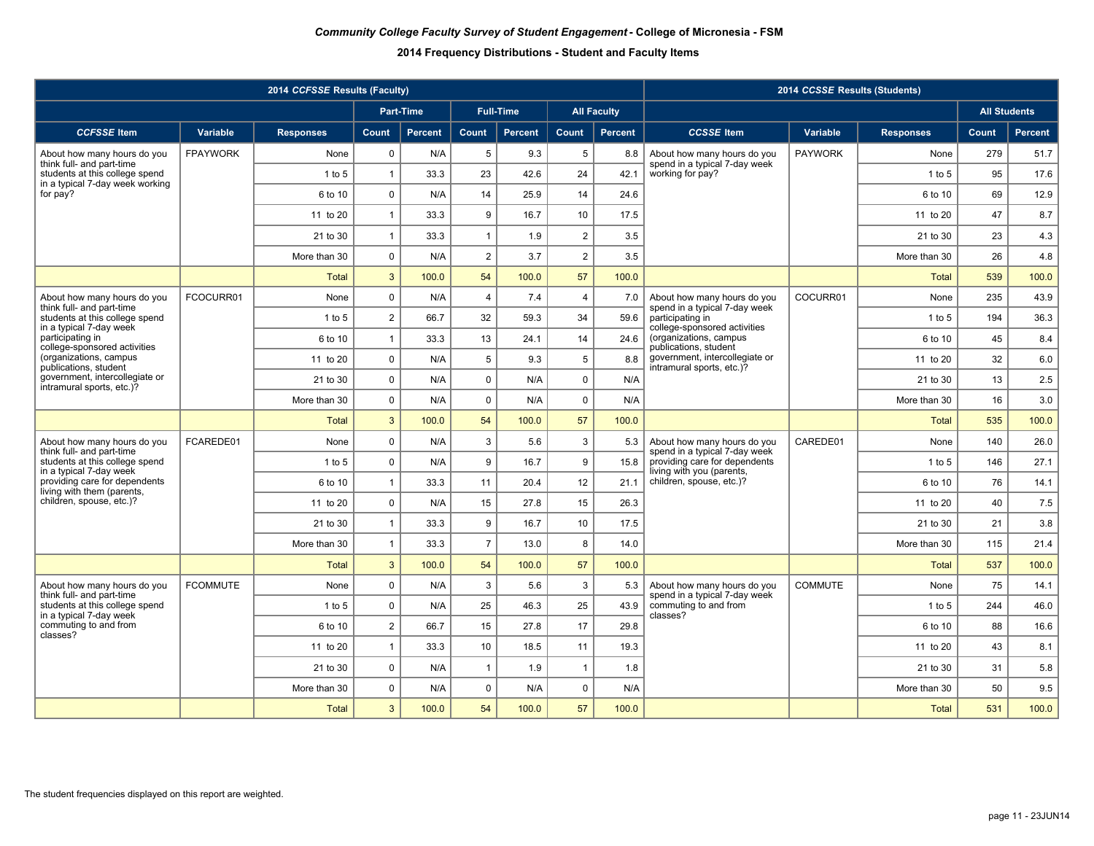|                                                                                                |                 | 2014 CCFSSE Results (Faculty) |                |                  |                  |                  |                |                    |                                                              | 2014 CCSSE Results (Students) |                  |       |                     |
|------------------------------------------------------------------------------------------------|-----------------|-------------------------------|----------------|------------------|------------------|------------------|----------------|--------------------|--------------------------------------------------------------|-------------------------------|------------------|-------|---------------------|
|                                                                                                |                 |                               |                | <b>Part-Time</b> |                  | <b>Full-Time</b> |                | <b>All Faculty</b> |                                                              |                               |                  |       | <b>All Students</b> |
| <b>CCFSSE</b> Item                                                                             | Variable        | <b>Responses</b>              | Count          | <b>Percent</b>   | Count            | <b>Percent</b>   | Count          | <b>Percent</b>     | <b>CCSSE</b> Item                                            | Variable                      | <b>Responses</b> | Count | <b>Percent</b>      |
| About how many hours do you                                                                    | <b>FPAYWORK</b> | None                          | $\mathsf 0$    | N/A              | 5                | 9.3              | 5              | 8.8                | About how many hours do you                                  | <b>PAYWORK</b>                | None             | 279   | 51.7                |
| think full- and part-time<br>students at this college spend<br>in a typical 7-day week working |                 | $1$ to $5$                    | $\mathbf{1}$   | 33.3             | 23               | 42.6             | 24             | 42.1               | spend in a typical 7-day week<br>working for pay?            |                               | 1 to 5           | 95    | 17.6                |
| for pay?                                                                                       |                 | 6 to 10                       | $\mathbf 0$    | N/A              | 14               | 25.9             | 14             | 24.6               |                                                              |                               | 6 to 10          | 69    | 12.9                |
|                                                                                                |                 | 11 to 20                      | $\mathbf{1}$   | 33.3             | $\boldsymbol{9}$ | 16.7             | 10             | 17.5               |                                                              |                               | 11 to 20         | 47    | 8.7                 |
|                                                                                                |                 | 21 to 30                      | $\mathbf{1}$   | 33.3             | $\mathbf{1}$     | 1.9              | $\overline{2}$ | 3.5                |                                                              |                               | 21 to 30         | 23    | 4.3                 |
|                                                                                                |                 | More than 30                  | $\mathbf 0$    | N/A              | $\overline{2}$   | 3.7              | $\overline{2}$ | 3.5                |                                                              |                               | More than 30     | 26    | 4.8                 |
|                                                                                                |                 | <b>Total</b>                  | $\mathbf{3}$   | 100.0            | 54               | 100.0            | 57             | 100.0              |                                                              |                               | Total            | 539   | 100.0               |
| About how many hours do you<br>think full- and part-time                                       | FCOCURR01       | None                          | $\mathsf 0$    | N/A              | $\overline{4}$   | 7.4              | $\overline{4}$ | 7.0                | About how many hours do you<br>spend in a typical 7-day week | COCURR01                      | None             | 235   | 43.9                |
| students at this college spend<br>in a typical 7-day week                                      |                 | $1$ to $5$                    | $\overline{2}$ | 66.7             | 32               | 59.3             | 34             | 59.6               | participating in<br>college-sponsored activities             |                               | $1$ to 5         | 194   | 36.3                |
| participating in<br>college-sponsored activities                                               |                 | 6 to 10                       | $\mathbf{1}$   | 33.3             | 13               | 24.1             | 14             | 24.6               | (organizations, campus<br>publications, student              |                               | 6 to 10          | 45    | 8.4                 |
| (organizations, campus<br>publications, student                                                |                 | 11 to 20                      | $\mathsf 0$    | N/A              | 5                | 9.3              | 5              | 8.8                | government, intercollegiate or<br>intramural sports, etc.)?  |                               | 11 to 20         | 32    | 6.0                 |
| government, intercollegiate or<br>intramural sports, etc.)?                                    |                 | 21 to 30                      | $\mathbf 0$    | N/A              | $\mathbf 0$      | N/A              | $\mathbf 0$    | N/A                |                                                              |                               | 21 to 30         | 13    | 2.5                 |
|                                                                                                |                 | More than 30                  | $\mathbf 0$    | N/A              | $\mathbf 0$      | N/A              | $\mathbf 0$    | N/A                |                                                              |                               | More than 30     | 16    | 3.0                 |
|                                                                                                |                 | <b>Total</b>                  | $\mathbf{3}$   | 100.0            | 54               | 100.0            | 57             | 100.0              |                                                              |                               | <b>Total</b>     | 535   | 100.0               |
| About how many hours do you<br>think full- and part-time                                       | FCAREDE01       | None                          | $\mathbf 0$    | N/A              | 3                | 5.6              | $\mathbf{3}$   | 5.3                | About how many hours do you<br>spend in a typical 7-day week | CAREDE01                      | None             | 140   | 26.0                |
| students at this college spend<br>in a typical 7-day week                                      |                 | $1$ to 5                      | $\mathbf 0$    | N/A              | 9                | 16.7             | 9              | 15.8               | providing care for dependents<br>living with you (parents,   |                               | $1$ to 5         | 146   | 27.1                |
| providing care for dependents<br>living with them (parents,                                    |                 | 6 to 10                       | $\mathbf{1}$   | 33.3             | 11               | 20.4             | 12             | 21.1               | children, spouse, etc.)?                                     |                               | 6 to 10          | 76    | 14.1                |
| children, spouse, etc.)?                                                                       |                 | 11 to 20                      | $\mathbf 0$    | N/A              | 15               | 27.8             | 15             | 26.3               |                                                              |                               | 11 to 20         | 40    | 7.5                 |
|                                                                                                |                 | 21 to 30                      | $\mathbf{1}$   | 33.3             | 9                | 16.7             | 10             | 17.5               |                                                              |                               | 21 to 30         | 21    | 3.8                 |
|                                                                                                |                 | More than 30                  | $\mathbf{1}$   | 33.3             | $\overline{7}$   | 13.0             | 8              | 14.0               |                                                              |                               | More than 30     | 115   | 21.4                |
|                                                                                                |                 | <b>Total</b>                  | $\mathbf{3}$   | 100.0            | 54               | 100.0            | 57             | 100.0              |                                                              |                               | <b>Total</b>     | 537   | 100.0               |
| About how many hours do you<br>think full- and part-time                                       | <b>FCOMMUTE</b> | None                          | $\mathsf 0$    | N/A              | 3                | 5.6              | 3              | 5.3                | About how many hours do you<br>spend in a typical 7-day week | <b>COMMUTE</b>                | None             | 75    | 14.1                |
| students at this college spend<br>in a typical 7-day week                                      |                 | $1$ to 5                      | $\mathbf 0$    | N/A              | 25               | 46.3             | 25             | 43.9               | commuting to and from<br>classes?                            |                               | $1$ to 5         | 244   | 46.0                |
| commuting to and from<br>classes?                                                              |                 | 6 to 10                       | $\overline{2}$ | 66.7             | 15               | 27.8             | 17             | 29.8               |                                                              |                               | 6 to 10          | 88    | 16.6                |
|                                                                                                |                 | 11 to 20                      | $\mathbf{1}$   | 33.3             | 10               | 18.5             | 11             | 19.3               |                                                              |                               | 11 to 20         | 43    | 8.1                 |
|                                                                                                |                 | 21 to 30                      | $\mathbf 0$    | N/A              | $\mathbf{1}$     | 1.9              | $\overline{1}$ | 1.8                |                                                              |                               | 21 to 30         | 31    | 5.8                 |
|                                                                                                |                 | More than 30                  | $\mathsf 0$    | N/A              | $\mathbf 0$      | N/A              | $\mathsf 0$    | N/A                |                                                              |                               | More than 30     | 50    | 9.5                 |
|                                                                                                |                 | <b>Total</b>                  | 3              | 100.0            | 54               | 100.0            | 57             | 100.0              |                                                              |                               | Total            | 531   | 100.0               |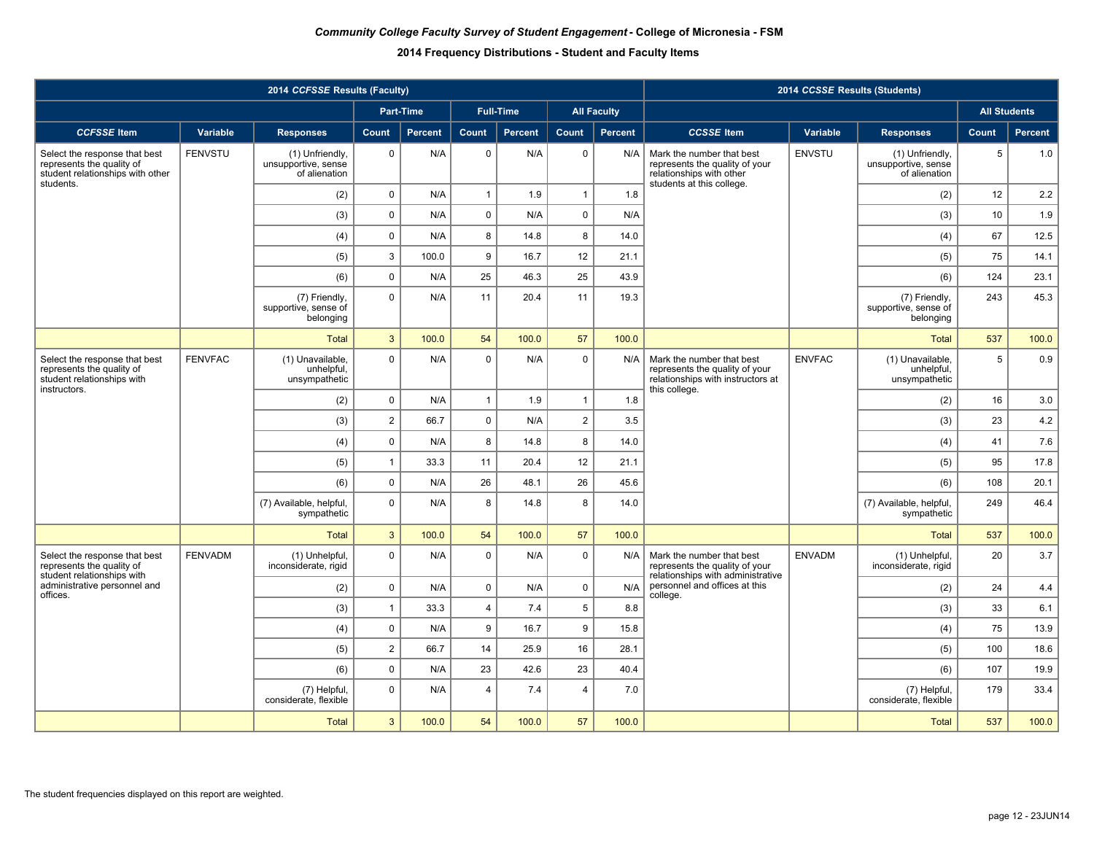|                                                                                                             |                | 2014 CCFSSE Results (Faculty)                           |                  |                  |                  |                  |                 |                    |                                                                                                                      | 2014 CCSSE Results (Students) |                                                         |       |                     |
|-------------------------------------------------------------------------------------------------------------|----------------|---------------------------------------------------------|------------------|------------------|------------------|------------------|-----------------|--------------------|----------------------------------------------------------------------------------------------------------------------|-------------------------------|---------------------------------------------------------|-------|---------------------|
|                                                                                                             |                |                                                         |                  | <b>Part-Time</b> |                  | <b>Full-Time</b> |                 | <b>All Faculty</b> |                                                                                                                      |                               |                                                         |       | <b>All Students</b> |
| <b>CCFSSE</b> Item                                                                                          | Variable       | <b>Responses</b>                                        | Count            | Percent          | Count            | Percent          | Count           | <b>Percent</b>     | <b>CCSSE</b> Item                                                                                                    | Variable                      | <b>Responses</b>                                        | Count | Percent             |
| Select the response that best<br>represents the quality of<br>student relationships with other<br>students. | <b>FENVSTU</b> | (1) Unfriendly,<br>unsupportive, sense<br>of alienation | $\mathsf 0$      | N/A              | $\mathbf 0$      | N/A              | $\mathbf 0$     | N/A                | Mark the number that best<br>represents the quality of your<br>relationships with other<br>students at this college. | <b>ENVSTU</b>                 | (1) Unfriendly,<br>unsupportive, sense<br>of alienation | 5     | 1.0                 |
|                                                                                                             |                | (2)                                                     | $\mathsf 0$      | N/A              | $\mathbf{1}$     | 1.9              | $\overline{1}$  | 1.8                |                                                                                                                      |                               | (2)                                                     | 12    | 2.2                 |
|                                                                                                             |                | (3)                                                     | $\pmb{0}$        | N/A              | $\pmb{0}$        | N/A              | $\mathsf 0$     | N/A                |                                                                                                                      |                               | (3)                                                     | 10    | 1.9                 |
|                                                                                                             |                | (4)                                                     | $\mathsf 0$      | N/A              | 8                | 14.8             | 8               | 14.0               |                                                                                                                      |                               | (4)                                                     | 67    | 12.5                |
|                                                                                                             |                | (5)                                                     | $\mathbf{3}$     | 100.0            | $\boldsymbol{9}$ | 16.7             | 12              | 21.1               |                                                                                                                      |                               | (5)                                                     | 75    | 14.1                |
|                                                                                                             |                | (6)                                                     | $\mathbf 0$      | N/A              | 25               | 46.3             | 25              | 43.9               |                                                                                                                      |                               | (6)                                                     | 124   | 23.1                |
|                                                                                                             |                | (7) Friendly,<br>supportive, sense of<br>belonging      | $\mathbf 0$      | N/A              | 11               | 20.4             | 11              | 19.3               |                                                                                                                      |                               | (7) Friendly,<br>supportive, sense of<br>belonging      | 243   | 45.3                |
|                                                                                                             |                | <b>Total</b>                                            | $\mathbf{3}$     | 100.0            | 54               | 100.0            | 57              | 100.0              |                                                                                                                      |                               | <b>Total</b>                                            | 537   | 100.0               |
| Select the response that best<br>represents the quality of<br>student relationships with<br>instructors.    | <b>FENVFAC</b> | (1) Unavailable,<br>unhelpful,<br>unsympathetic         | $\mathbf 0$      | N/A              | $\mathbf 0$      | N/A              | $\mathbf 0$     | N/A                | Mark the number that best<br>represents the quality of your<br>relationships with instructors at<br>this college.    | <b>ENVFAC</b>                 | (1) Unavailable,<br>unhelpful.<br>unsympathetic         | 5     | 0.9                 |
|                                                                                                             |                | (2)                                                     | $\mathsf 0$      | N/A              | $\mathbf{1}$     | 1.9              | $\overline{1}$  | 1.8                |                                                                                                                      |                               | (2)                                                     | 16    | 3.0                 |
|                                                                                                             |                | (3)                                                     | $\overline{2}$   | 66.7             | $\pmb{0}$        | N/A              | $\overline{2}$  | 3.5                |                                                                                                                      |                               | (3)                                                     | 23    | 4.2                 |
|                                                                                                             |                | (4)                                                     | $\mathsf 0$      | N/A              | 8                | 14.8             | 8               | 14.0               |                                                                                                                      |                               | (4)                                                     | 41    | 7.6                 |
|                                                                                                             |                | (5)                                                     | $\mathbf{1}$     | 33.3             | 11               | 20.4             | 12              | 21.1               |                                                                                                                      |                               | (5)                                                     | 95    | 17.8                |
|                                                                                                             |                | (6)                                                     | $\mathsf 0$      | N/A              | 26               | 48.1             | 26              | 45.6               |                                                                                                                      |                               | (6)                                                     | 108   | 20.1                |
|                                                                                                             |                | (7) Available, helpful,<br>sympathetic                  | $\mathbf 0$      | N/A              | 8                | 14.8             | 8               | 14.0               |                                                                                                                      |                               | (7) Available, helpful,<br>sympathetic                  | 249   | 46.4                |
|                                                                                                             |                | <b>Total</b>                                            | $\mathbf{3}$     | 100.0            | 54               | 100.0            | 57              | 100.0              |                                                                                                                      |                               | <b>Total</b>                                            | 537   | 100.0               |
| Select the response that best<br>represents the quality of<br>student relationships with                    | <b>FENVADM</b> | (1) Unhelpful,<br>inconsiderate, rigid                  | $\mathbf 0$      | N/A              | $\mathbf 0$      | N/A              | $\mathbf 0$     | N/A                | Mark the number that best<br>represents the quality of your<br>relationships with administrative                     | <b>ENVADM</b>                 | (1) Unhelpful,<br>inconsiderate, rigid                  | 20    | 3.7                 |
| administrative personnel and<br>offices.                                                                    |                | (2)                                                     | $\mathbf 0$      | N/A              | $\pmb{0}$        | N/A              | $\mathbf 0$     | N/A                | personnel and offices at this<br>college.                                                                            |                               | (2)                                                     | 24    | 4.4                 |
|                                                                                                             |                | (3)                                                     | $\mathbf{1}$     | 33.3             | $\overline{4}$   | 7.4              | $5\phantom{.0}$ | 8.8                |                                                                                                                      |                               | (3)                                                     | 33    | 6.1                 |
|                                                                                                             |                | (4)                                                     | $\mathbf 0$      | N/A              | 9                | 16.7             | 9               | 15.8               |                                                                                                                      |                               | (4)                                                     | 75    | 13.9                |
|                                                                                                             |                | (5)                                                     | $\boldsymbol{2}$ | 66.7             | 14               | 25.9             | 16              | 28.1               |                                                                                                                      |                               | (5)                                                     | 100   | 18.6                |
|                                                                                                             |                | (6)                                                     | $\mathsf 0$      | N/A              | 23               | 42.6             | 23              | 40.4               |                                                                                                                      |                               | (6)                                                     | 107   | 19.9                |
|                                                                                                             |                | (7) Helpful,<br>considerate, flexible                   | $\mathbf 0$      | N/A              | $\overline{4}$   | 7.4              | $\overline{4}$  | 7.0                |                                                                                                                      |                               | (7) Helpful,<br>considerate, flexible                   | 179   | 33.4                |
|                                                                                                             |                | <b>Total</b>                                            | $\sqrt{3}$       | 100.0            | 54               | 100.0            | 57              | 100.0              |                                                                                                                      |                               | <b>Total</b>                                            | 537   | 100.0               |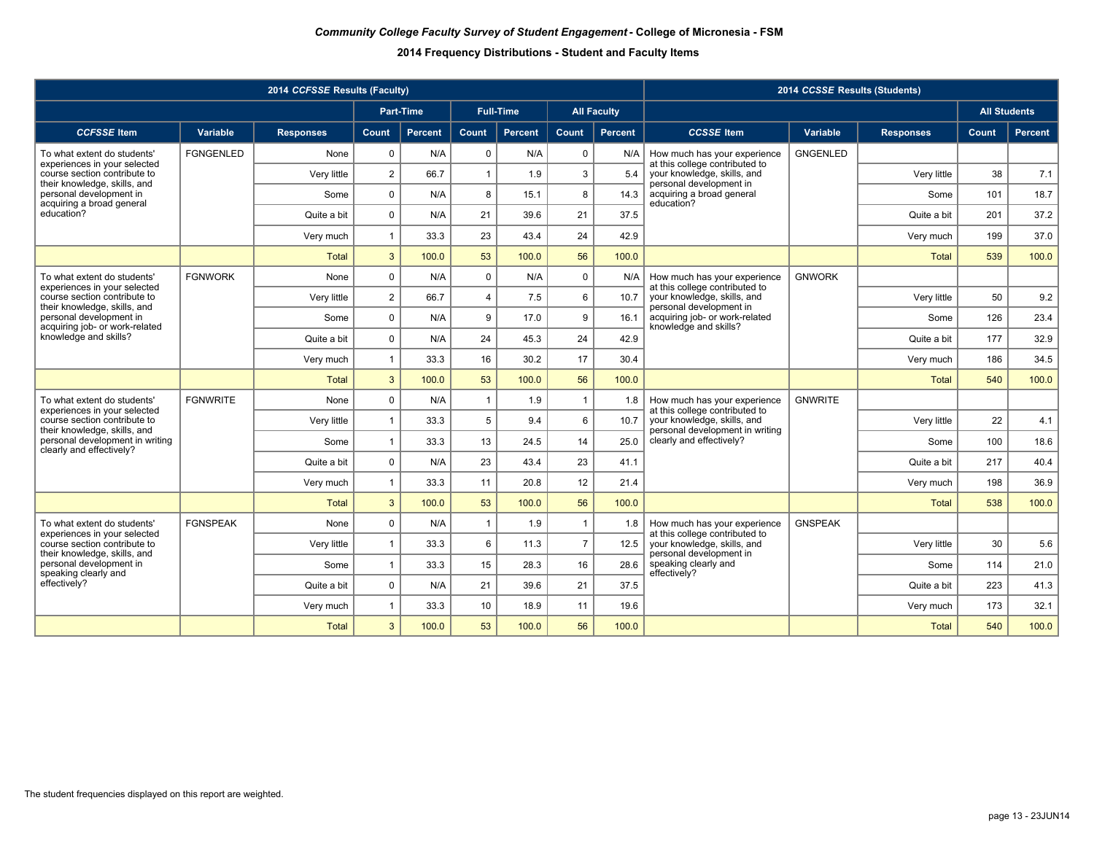|                                                                                 |                  | 2014 CCFSSE Results (Faculty) | 2014 CCSSE Results (Students) |           |                |                  |                |                                      |                                                                |                 |                  |                     |         |
|---------------------------------------------------------------------------------|------------------|-------------------------------|-------------------------------|-----------|----------------|------------------|----------------|--------------------------------------|----------------------------------------------------------------|-----------------|------------------|---------------------|---------|
|                                                                                 |                  |                               |                               | Part-Time |                | <b>Full-Time</b> |                | <b>All Faculty</b>                   |                                                                |                 |                  | <b>All Students</b> |         |
| <b>CCFSSE</b> Item                                                              | Variable         | <b>Responses</b>              | Count                         | Percent   | Count          | Percent          | Count          | Percent                              | <b>CCSSE</b> Item                                              | Variable        | <b>Responses</b> | Count               | Percent |
| To what extent do students'<br>experiences in your selected                     | <b>FGNGENLED</b> | None                          | $\mathbf 0$                   | N/A       | 0              | N/A              | $\mathbf 0$    | N/A                                  | How much has your experience<br>at this college contributed to | <b>GNGENLED</b> |                  |                     |         |
| course section contribute to<br>their knowledge, skills, and                    |                  | Very little                   | $\overline{2}$                | 66.7      | $\mathbf{1}$   | 1.9              | 3              | 5.4                                  | your knowledge, skills, and<br>personal development in         |                 | Very little      | 38                  | 7.1     |
| personal development in<br>acquiring a broad general                            |                  | Some                          | $\mathbf 0$                   | N/A       | 8              | 15.1             | 8              | 14.3                                 | acquiring a broad general<br>education?                        |                 | Some             | 101                 | 18.7    |
| education?                                                                      |                  | Quite a bit                   | 0                             | N/A       | 21             | 39.6             | 21             | 37.5                                 |                                                                |                 | Quite a bit      | 201                 | 37.2    |
|                                                                                 |                  | Very much                     | $\mathbf{1}$                  | 33.3      | 23             | 43.4             | 24             | 42.9                                 |                                                                |                 | Very much        | 199                 | 37.0    |
|                                                                                 |                  | <b>Total</b>                  | $\mathbf{3}$                  | 100.0     | 53             | 100.0            | 56             | 100.0                                |                                                                |                 | <b>Total</b>     | 539                 | 100.0   |
| To what extent do students'<br>experiences in your selected                     | <b>FGNWORK</b>   | None                          | $\mathsf 0$                   | N/A       | $\pmb{0}$      | N/A              | $\mathbf 0$    | N/A                                  | How much has your experience<br>at this college contributed to | <b>GNWORK</b>   |                  |                     |         |
| course section contribute to<br>their knowledge, skills, and                    |                  | Very little                   | $\overline{2}$                | 66.7      | $\overline{4}$ | 7.5              | 6              | 10.7                                 | your knowledge, skills, and<br>personal development in         |                 | Very little      | 50                  | 9.2     |
| personal development in<br>acquiring job- or work-related                       |                  | Some                          | 0                             | N/A       | 9              | 17.0             | 9              | 16.1                                 | acquiring job- or work-related<br>knowledge and skills?        |                 | Some             | 126                 | 23.4    |
| knowledge and skills?                                                           |                  | Quite a bit                   | 0                             | N/A       | 24             | 45.3             | 24             | 42.9                                 |                                                                |                 | Quite a bit      | 177                 | 32.9    |
|                                                                                 |                  | Very much                     | $\mathbf{1}$                  | 33.3      | 16             | 30.2             | 17             | 30.4                                 |                                                                |                 | Very much        | 186                 | 34.5    |
|                                                                                 |                  | <b>Total</b>                  | 3                             | 100.0     | 53             | 100.0            | 56             | 100.0                                |                                                                |                 | <b>Total</b>     | 540                 | 100.0   |
| To what extent do students'<br>experiences in your selected                     | <b>FGNWRITE</b>  | None                          | 0                             | N/A       | $\mathbf{1}$   | 1.9              | $\overline{1}$ | 1.8                                  | How much has your experience<br>at this college contributed to | <b>GNWRITE</b>  |                  |                     |         |
| course section contribute to<br>their knowledge, skills, and                    |                  | Very little                   | $\mathbf{1}$                  | 33.3      | 5              | 9.4              | 6              | 10.7                                 | your knowledge, skills, and<br>personal development in writing |                 | Very little      | 22                  | 4.1     |
| personal development in writing<br>clearly and effectively?                     |                  | Some                          | $\mathbf{1}$                  | 33.3      | 13             | 24.5             | 14             | 25.0                                 | clearly and effectively?                                       |                 | Some             | 100                 | 18.6    |
|                                                                                 |                  | Quite a bit                   | 0                             | N/A       | 23             | 43.4             | 23             | 41.1                                 |                                                                |                 | Quite a bit      | 217                 | 40.4    |
|                                                                                 |                  | Very much                     | $\mathbf{1}$                  | 33.3      | 11             | 20.8             | 12             | 21.4                                 |                                                                |                 | Very much        | 198                 | 36.9    |
|                                                                                 |                  | <b>Total</b>                  | 3                             | 100.0     | 53             | 100.0            | 56             | 100.0                                |                                                                |                 | <b>Total</b>     | 538                 | 100.0   |
| To what extent do students'<br>experiences in your selected                     | <b>FGNSPEAK</b>  | None                          | $\mathsf 0$                   | N/A       | $\mathbf{1}$   | 1.9              | $\overline{1}$ | 1.8                                  | How much has your experience<br>at this college contributed to | <b>GNSPEAK</b>  |                  |                     |         |
| course section contribute to                                                    |                  | Very little                   | $\mathbf{1}$                  | 33.3      | 6              | 11.3             | $\overline{7}$ | 12.5                                 | your knowledge, skills, and<br>personal development in         |                 | Very little      | 30                  | 5.6     |
| their knowledge, skills, and<br>personal development in<br>speaking clearly and | Some             | $\mathbf{1}$                  | 33.3                          | 15        | 28.3           | 16               | 28.6           | speaking clearly and<br>effectively? |                                                                | Some            | 114              | 21.0                |         |
| effectively?                                                                    |                  | Quite a bit                   | 0                             | N/A       | 21             | 39.6             | 21             | 37.5                                 |                                                                |                 | Quite a bit      | 223                 | 41.3    |
|                                                                                 |                  | Very much                     | $\mathbf{1}$                  | 33.3      | 10             | 18.9             | 11             | 19.6                                 |                                                                |                 | Very much        | 173                 | 32.1    |
| <b>Total</b>                                                                    |                  |                               | $\mathbf{3}$                  | 100.0     | 53             | 100.0            | 56             | 100.0                                |                                                                |                 | <b>Total</b>     | 540                 | 100.0   |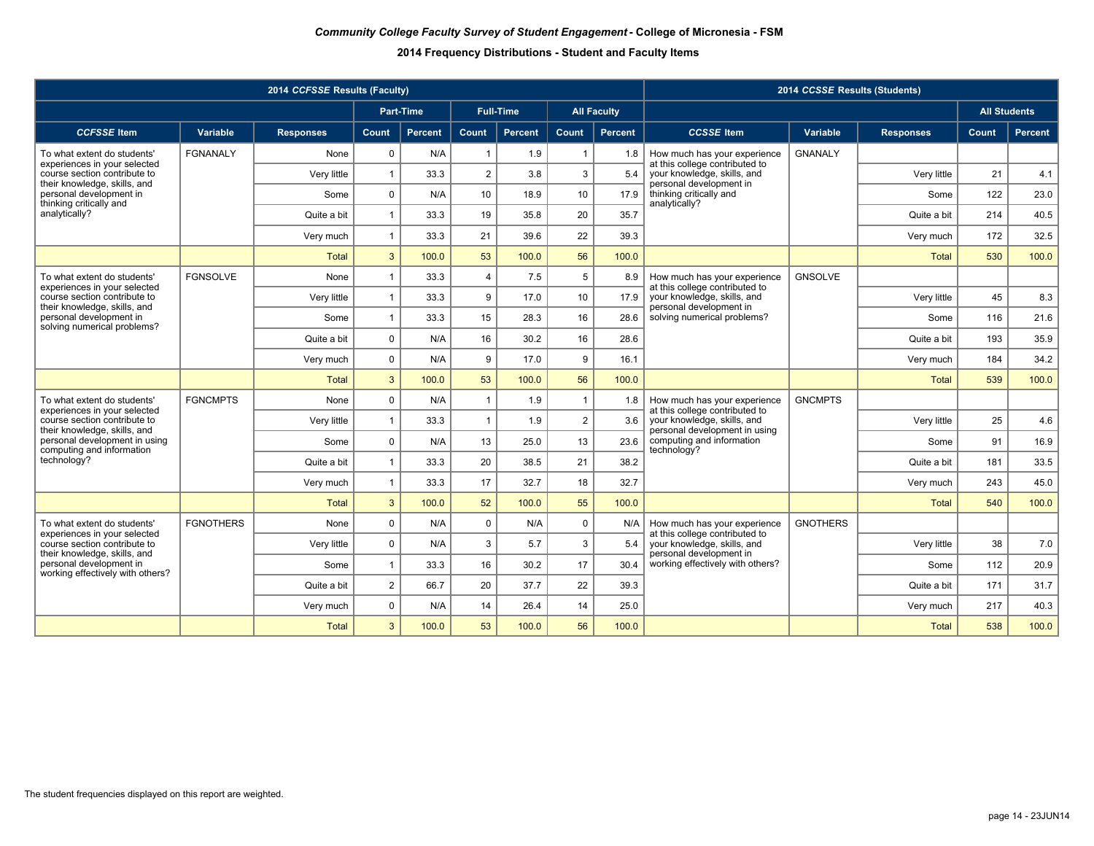|                                                                                             |                  | 2014 CCFSSE Results (Faculty) | 2014 CCSSE Results (Students) |           |                |                  |                |                    |                                                                |                 |                  |                     |                |
|---------------------------------------------------------------------------------------------|------------------|-------------------------------|-------------------------------|-----------|----------------|------------------|----------------|--------------------|----------------------------------------------------------------|-----------------|------------------|---------------------|----------------|
|                                                                                             |                  |                               |                               | Part-Time |                | <b>Full-Time</b> |                | <b>All Faculty</b> |                                                                |                 |                  | <b>All Students</b> |                |
| <b>CCFSSE</b> Item                                                                          | Variable         | <b>Responses</b>              | Count                         | Percent   | Count          | Percent          | Count          | Percent            | <b>CCSSE</b> Item                                              | Variable        | <b>Responses</b> | Count               | <b>Percent</b> |
| To what extent do students'<br>experiences in your selected                                 | <b>FGNANALY</b>  | None                          | $\mathbf 0$                   | N/A       | $\overline{1}$ | 1.9              | $\overline{1}$ | 1.8                | How much has your experience<br>at this college contributed to | <b>GNANALY</b>  |                  |                     |                |
| course section contribute to<br>their knowledge, skills, and                                |                  | Very little                   | $\mathbf{1}$                  | 33.3      | $\overline{2}$ | 3.8              | 3              | 5.4                | your knowledge, skills, and<br>personal development in         |                 | Very little      | 21                  | 4.1            |
| personal development in<br>thinking critically and                                          |                  | Some                          | $\mathbf 0$                   | N/A       | 10             | 18.9             | 10             | 17.9               | thinking critically and<br>analytically?                       |                 | Some             | 122                 | 23.0           |
| analytically?                                                                               |                  | Quite a bit                   | $\mathbf{1}$                  | 33.3      | 19             | 35.8             | 20             | 35.7               |                                                                |                 | Quite a bit      | 214                 | 40.5           |
|                                                                                             |                  | Very much                     | $\mathbf{1}$                  | 33.3      | 21             | 39.6             | 22             | 39.3               |                                                                |                 | Very much        | 172                 | 32.5           |
|                                                                                             |                  | <b>Total</b>                  | $\mathbf{3}$                  | 100.0     | 53             | 100.0            | 56             | 100.0              |                                                                |                 | <b>Total</b>     | 530                 | 100.0          |
| To what extent do students'<br>experiences in your selected                                 | <b>FGNSOLVE</b>  | None                          | $\mathbf{1}$                  | 33.3      | $\overline{4}$ | 7.5              | 5              | 8.9                | How much has your experience<br>at this college contributed to | <b>GNSOLVE</b>  |                  |                     |                |
| course section contribute to<br>their knowledge, skills, and                                |                  | Very little                   | $\mathbf{1}$                  | 33.3      | 9              | 17.0             | 10             | 17.9               | your knowledge, skills, and<br>personal development in         |                 | Very little      | 45                  | 8.3            |
| personal development in<br>solving numerical problems?                                      |                  | Some                          | $\mathbf{1}$                  | 33.3      | 15             | 28.3             | 16             | 28.6               | solving numerical problems?                                    |                 | Some             | 116                 | 21.6           |
|                                                                                             | Quite a bit      | $\mathbf 0$                   | N/A                           | 16        | 30.2           | 16               | 28.6           |                    |                                                                | Quite a bit     | 193              | 35.9                |                |
|                                                                                             |                  | Very much                     | $\mathbf 0$                   | N/A       | 9              | 17.0             | 9              | 16.1               |                                                                |                 | Very much        | 184                 | 34.2           |
|                                                                                             |                  | <b>Total</b>                  | $\mathbf{3}$                  | 100.0     | 53             | 100.0            | 56             | 100.0              |                                                                |                 | <b>Total</b>     | 539                 | 100.0          |
| To what extent do students'<br>experiences in your selected                                 | <b>FGNCMPTS</b>  | None                          | $\mathbf 0$                   | N/A       | $\mathbf{1}$   | 1.9              | $\overline{1}$ | 1.8                | How much has your experience<br>at this college contributed to | <b>GNCMPTS</b>  |                  |                     |                |
| course section contribute to<br>their knowledge, skills, and                                |                  | Very little                   | $\mathbf{1}$                  | 33.3      | $\mathbf{1}$   | 1.9              | $\overline{2}$ | 3.6                | your knowledge, skills, and<br>personal development in using   |                 | Very little      | 25                  | 4.6            |
| personal development in using<br>computing and information                                  |                  | Some                          | $\mathbf 0$                   | N/A       | 13             | 25.0             | 13             | 23.6               | computing and information<br>technology?                       |                 | Some             | 91                  | 16.9           |
| technology?                                                                                 |                  | Quite a bit                   | $\mathbf{1}$                  | 33.3      | 20             | 38.5             | 21             | 38.2               |                                                                |                 | Quite a bit      | 181                 | 33.5           |
|                                                                                             |                  | Very much                     | $\mathbf{1}$                  | 33.3      | 17             | 32.7             | 18             | 32.7               |                                                                |                 | Very much        | 243                 | 45.0           |
|                                                                                             |                  | <b>Total</b>                  | 3                             | 100.0     | 52             | 100.0            | 55             | 100.0              |                                                                |                 | <b>Total</b>     | 540                 | 100.0          |
| To what extent do students'<br>experiences in your selected                                 | <b>FGNOTHERS</b> | None                          | $\mathsf 0$                   | N/A       | $\mathbf 0$    | N/A              | $\mathbf 0$    | N/A                | How much has your experience<br>at this college contributed to | <b>GNOTHERS</b> |                  |                     |                |
| course section contribute to                                                                |                  | Very little                   | 0                             | N/A       | 3              | 5.7              | 3              | 5.4                | your knowledge, skills, and                                    |                 | Very little      | 38                  | 7.0            |
| their knowledge, skills, and<br>personal development in<br>working effectively with others? |                  | Some                          | $\mathbf{1}$                  | 33.3      | 16             | 30.2             | 17             | 30.4               | personal development in<br>working effectively with others?    |                 | Some             | 112                 | 20.9           |
|                                                                                             |                  | Quite a bit                   | $\overline{2}$                | 66.7      | 20             | 37.7             | 22             | 39.3               |                                                                |                 | Quite a bit      | 171                 | 31.7           |
|                                                                                             |                  | Very much                     | $\mathsf 0$                   | N/A       | 14             | 26.4             | 14             | 25.0               |                                                                |                 | Very much        | 217                 | 40.3           |
| <b>Total</b>                                                                                |                  |                               | $\mathbf{3}$                  | 100.0     | 53             | 100.0            | 56             | 100.0              |                                                                |                 | <b>Total</b>     | 538                 | 100.0          |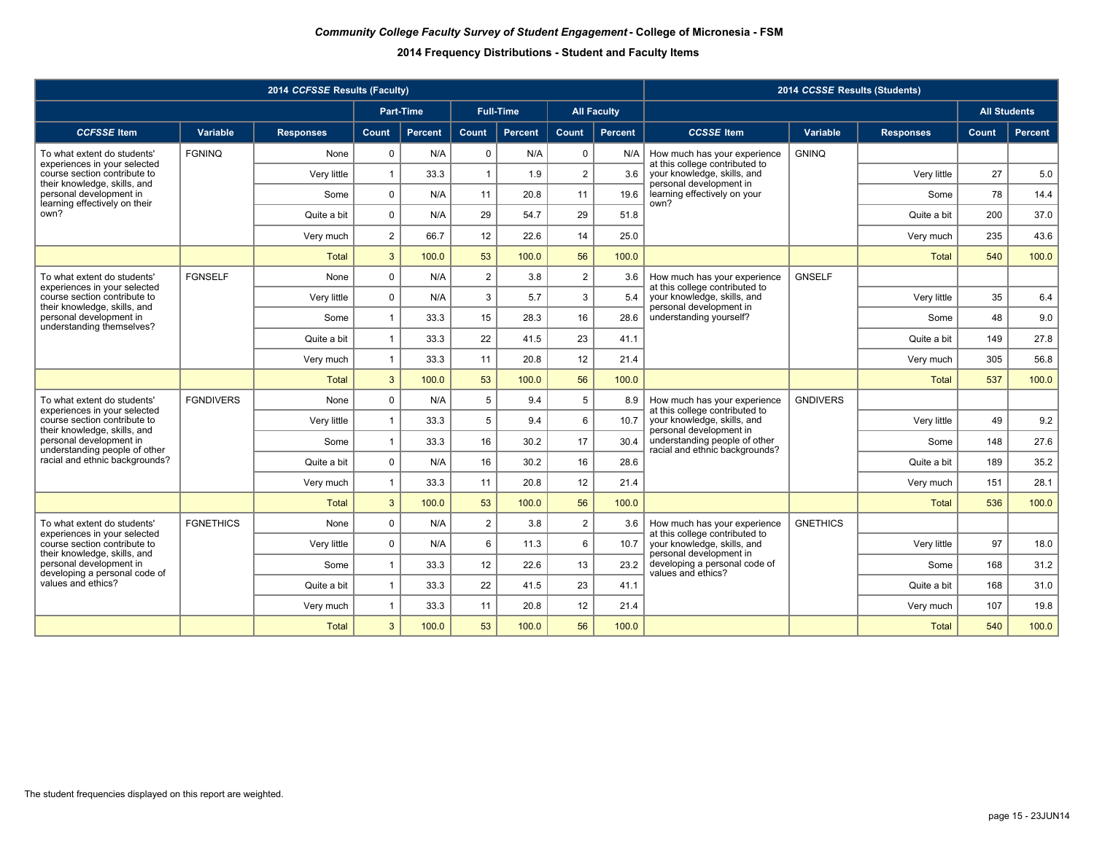|                                                                                          |                  | 2014 CCFSSE Results (Faculty) | 2014 CCSSE Results (Students) |                |                |                  |                |                    |                                                                 |                 |                  |                     |                |
|------------------------------------------------------------------------------------------|------------------|-------------------------------|-------------------------------|----------------|----------------|------------------|----------------|--------------------|-----------------------------------------------------------------|-----------------|------------------|---------------------|----------------|
|                                                                                          |                  |                               |                               | Part-Time      |                | <b>Full-Time</b> |                | <b>All Faculty</b> |                                                                 |                 |                  | <b>All Students</b> |                |
| <b>CCFSSE</b> Item                                                                       | Variable         | <b>Responses</b>              | <b>Count</b>                  | <b>Percent</b> | <b>Count</b>   | Percent          | <b>Count</b>   | Percent            | <b>CCSSE</b> Item                                               | Variable        | <b>Responses</b> | Count               | <b>Percent</b> |
| To what extent do students'<br>experiences in your selected                              | <b>FGNINQ</b>    | None                          | $\mathbf 0$                   | N/A            | $\mathbf 0$    | N/A              | $\mathbf 0$    | N/A                | How much has your experience<br>at this college contributed to  | <b>GNINQ</b>    |                  |                     |                |
| course section contribute to<br>their knowledge, skills, and                             |                  | Very little                   | $\mathbf{1}$                  | 33.3           | $\mathbf{1}$   | 1.9              | $\overline{2}$ | 3.6                | your knowledge, skills, and<br>personal development in          |                 | Very little      | 27                  | 5.0            |
| personal development in<br>learning effectively on their                                 |                  | Some                          | $\mathsf 0$                   | N/A            | 11             | 20.8             | 11             | 19.6               | learning effectively on your<br>own?                            |                 | Some             | 78                  | 14.4           |
| own?                                                                                     |                  | Quite a bit                   | 0                             | N/A            | 29             | 54.7             | 29             | 51.8               |                                                                 |                 | Quite a bit      | 200                 | 37.0           |
|                                                                                          |                  | Very much                     | $\overline{2}$                | 66.7           | 12             | 22.6             | 14             | 25.0               |                                                                 |                 | Very much        | 235                 | 43.6           |
|                                                                                          |                  | <b>Total</b>                  | $\mathbf{3}$                  | 100.0          | 53             | 100.0            | 56             | 100.0              |                                                                 |                 | <b>Total</b>     | 540                 | 100.0          |
| To what extent do students'<br>experiences in your selected                              | <b>FGNSELF</b>   | None                          | $\mathbf 0$                   | N/A            | $\overline{2}$ | 3.8              | $\overline{2}$ | 3.6                | How much has your experience<br>at this college contributed to  | <b>GNSELF</b>   |                  |                     |                |
| course section contribute to<br>their knowledge, skills, and                             |                  | Very little                   | 0                             | N/A            | 3              | 5.7              | $\mathbf{3}$   | 5.4                | your knowledge, skills, and<br>personal development in          |                 | Very little      | 35                  | 6.4            |
| personal development in<br>understanding themselves?                                     |                  | Some                          | $\mathbf{1}$                  | 33.3           | 15             | 28.3             | 16             | 28.6               | understanding yourself?                                         |                 | Some             | 48                  | 9.0            |
|                                                                                          | Quite a bit      | $\mathbf{1}$                  | 33.3                          | 22             | 41.5           | 23               | 41.1           |                    |                                                                 | Quite a bit     | 149              | 27.8                |                |
|                                                                                          |                  | Very much                     | $\mathbf{1}$                  | 33.3           | 11             | 20.8             | 12             | 21.4               |                                                                 |                 | Very much        | 305                 | 56.8           |
|                                                                                          |                  | <b>Total</b>                  | $\mathbf{3}$                  | 100.0          | 53             | 100.0            | 56             | 100.0              |                                                                 |                 | <b>Total</b>     | 537                 | 100.0          |
| To what extent do students'<br>experiences in your selected                              | <b>FGNDIVERS</b> | None                          | $\mathbf 0$                   | N/A            | 5              | 9.4              | 5              | 8.9                | How much has your experience<br>at this college contributed to  | <b>GNDIVERS</b> |                  |                     |                |
| course section contribute to<br>their knowledge, skills, and                             |                  | Very little                   | $\mathbf{1}$                  | 33.3           | 5              | 9.4              | 6              | 10.7               | your knowledge, skills, and<br>personal development in          |                 | Very little      | 49                  | 9.2            |
| personal development in<br>understanding people of other                                 |                  | Some                          | $\mathbf{1}$                  | 33.3           | 16             | 30.2             | 17             | 30.4               | understanding people of other<br>racial and ethnic backgrounds? |                 | Some             | 148                 | 27.6           |
| racial and ethnic backgrounds?                                                           |                  | Quite a bit                   | 0                             | N/A            | 16             | 30.2             | 16             | 28.6               |                                                                 |                 | Quite a bit      | 189                 | 35.2           |
|                                                                                          |                  | Very much                     | $\mathbf{1}$                  | 33.3           | 11             | 20.8             | 12             | 21.4               |                                                                 |                 | Very much        | 151                 | 28.1           |
|                                                                                          |                  | <b>Total</b>                  | 3                             | 100.0          | 53             | 100.0            | 56             | 100.0              |                                                                 |                 | <b>Total</b>     | 536                 | 100.0          |
| To what extent do students'<br>experiences in your selected                              | <b>FGNETHICS</b> | None                          | $\mathbf 0$                   | N/A            | $\overline{2}$ | 3.8              | $\overline{2}$ | 3.6                | How much has your experience<br>at this college contributed to  | <b>GNETHICS</b> |                  |                     |                |
| course section contribute to                                                             |                  | Very little                   | 0                             | N/A            | 6              | 11.3             | 6              | 10.7               | your knowledge, skills, and<br>personal development in          |                 | Very little      | 97                  | 18.0           |
| their knowledge, skills, and<br>personal development in<br>developing a personal code of |                  | Some                          | $\mathbf{1}$                  | 33.3           | 12             | 22.6             | 13             | 23.2               | developing a personal code of                                   |                 | Some             | 168                 | 31.2           |
| values and ethics?                                                                       |                  | Quite a bit                   | $\mathbf{1}$                  | 33.3           | 22             | 41.5             | 23             | 41.1               | values and ethics?                                              |                 | Quite a bit      | 168                 | 31.0           |
|                                                                                          |                  | Very much                     | $\mathbf{1}$                  | 33.3           | 11             | 20.8             | 12             | 21.4               |                                                                 |                 | Very much        | 107                 | 19.8           |
| <b>Total</b>                                                                             |                  |                               | $\mathbf{3}$                  | 100.0          | 53             | 100.0            | 56             | 100.0              |                                                                 |                 | <b>Total</b>     | 540                 | 100.0          |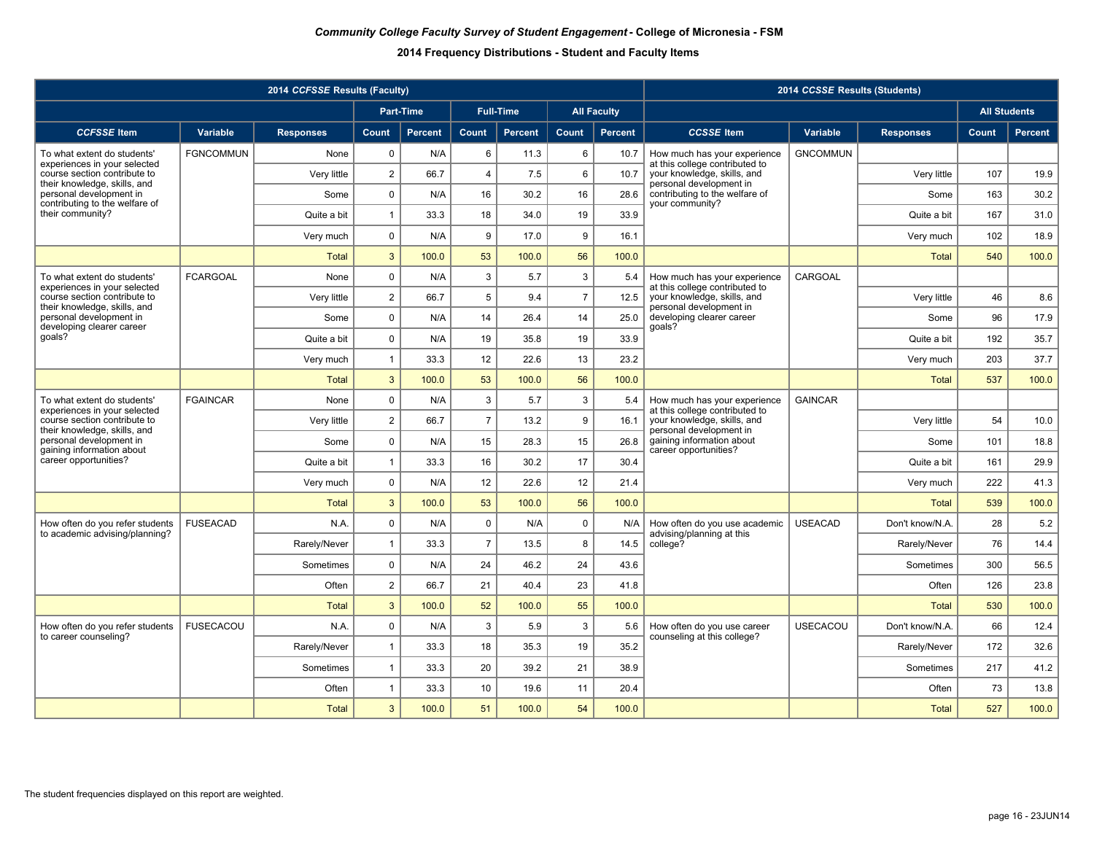|                                                                                              |                  | 2014 CCFSSE Results (Faculty) | 2014 CCSSE Results (Students) |                  |                |                  |                |                    |                                                                                          |                 |                  |       |                     |
|----------------------------------------------------------------------------------------------|------------------|-------------------------------|-------------------------------|------------------|----------------|------------------|----------------|--------------------|------------------------------------------------------------------------------------------|-----------------|------------------|-------|---------------------|
|                                                                                              |                  |                               |                               | <b>Part-Time</b> |                | <b>Full-Time</b> |                | <b>All Faculty</b> |                                                                                          |                 |                  |       | <b>All Students</b> |
| <b>CCFSSE</b> Item                                                                           | Variable         | <b>Responses</b>              | Count                         | Percent          | Count          | <b>Percent</b>   | Count          | <b>Percent</b>     | <b>CCSSE</b> Item                                                                        | Variable        | <b>Responses</b> | Count | <b>Percent</b>      |
| To what extent do students'                                                                  | <b>FGNCOMMUN</b> | None                          | $\mathsf 0$                   | N/A              | 6              | 11.3             | 6              | 10.7               | How much has your experience                                                             | <b>GNCOMMUN</b> |                  |       |                     |
| experiences in your selected<br>course section contribute to<br>their knowledge, skills, and |                  | Very little                   | $\overline{2}$                | 66.7             | $\overline{4}$ | 7.5              | 6              | 10.7               | at this college contributed to<br>your knowledge, skills, and<br>personal development in |                 | Very little      | 107   | 19.9                |
| personal development in<br>contributing to the welfare of                                    |                  | Some                          | $\mathbf 0$                   | N/A              | 16             | 30.2             | 16             | 28.6               | contributing to the welfare of<br>your community?                                        |                 | Some             | 163   | 30.2                |
| their community?                                                                             |                  | Quite a bit                   | $\mathbf{1}$                  | 33.3             | 18             | 34.0             | 19             | 33.9               |                                                                                          |                 | Quite a bit      | 167   | 31.0                |
|                                                                                              |                  | Very much                     | $\mathbf 0$                   | N/A              | 9              | 17.0             | 9              | 16.1               |                                                                                          |                 | Very much        | 102   | 18.9                |
|                                                                                              |                  | <b>Total</b>                  | $\mathbf{3}$                  | 100.0            | 53             | 100.0            | 56             | 100.0              |                                                                                          |                 | <b>Total</b>     | 540   | 100.0               |
| To what extent do students'<br>experiences in your selected                                  | <b>FCARGOAL</b>  | None                          | $\mathbf 0$                   | N/A              | 3              | 5.7              | 3              | 5.4                | How much has your experience<br>at this college contributed to                           | CARGOAL         |                  |       |                     |
| course section contribute to<br>their knowledge, skills, and                                 |                  | Very little                   | $\overline{2}$                | 66.7             | 5              | 9.4              | $\overline{7}$ | 12.5               | your knowledge, skills, and<br>personal development in                                   |                 | Very little      | 46    | 8.6                 |
| personal development in<br>developing clearer career                                         |                  | Some                          | $\mathbf 0$                   | N/A              | 14             | 26.4             | 14             | 25.0               | developing clearer career<br>goals?                                                      |                 | Some             | 96    | 17.9                |
| qoals?                                                                                       |                  | Quite a bit                   | $\Omega$                      | N/A              | 19             | 35.8             | 19             | 33.9               |                                                                                          |                 | Quite a bit      | 192   | 35.7                |
|                                                                                              |                  | Very much                     | $\mathbf{1}$                  | 33.3             | 12             | 22.6             | 13             | 23.2               |                                                                                          |                 | Very much        | 203   | 37.7                |
|                                                                                              |                  | <b>Total</b>                  | $\mathbf{3}$                  | 100.0            | 53             | 100.0            | 56             | 100.0              |                                                                                          |                 | Total            | 537   | 100.0               |
| To what extent do students'<br>experiences in your selected                                  | <b>FGAINCAR</b>  | None                          | $\mathbf 0$                   | N/A              | 3              | 5.7              | 3              | 5.4                | How much has your experience<br>at this college contributed to                           | <b>GAINCAR</b>  |                  |       |                     |
| course section contribute to<br>their knowledge, skills, and                                 |                  | Very little                   | $\overline{2}$                | 66.7             | $\overline{7}$ | 13.2             | 9              | 16.1               | your knowledge, skills, and<br>personal development in                                   |                 | Very little      | 54    | 10.0                |
| personal development in<br>gaining information about                                         |                  | Some                          | $\mathbf 0$                   | N/A              | 15             | 28.3             | 15             | 26.8               | gaining information about<br>career opportunities?                                       |                 | Some             | 101   | 18.8                |
| career opportunities?                                                                        |                  | Quite a bit                   | $\mathbf{1}$                  | 33.3             | 16             | 30.2             | 17             | 30.4               |                                                                                          |                 | Quite a bit      | 161   | 29.9                |
|                                                                                              |                  | Very much                     | $\pmb{0}$                     | N/A              | 12             | 22.6             | 12             | 21.4               |                                                                                          |                 | Very much        | 222   | 41.3                |
|                                                                                              |                  | <b>Total</b>                  | $\mathbf{3}$                  | 100.0            | 53             | 100.0            | 56             | 100.0              |                                                                                          |                 | <b>Total</b>     | 539   | 100.0               |
| How often do you refer students<br>to academic advising/planning?                            | <b>FUSEACAD</b>  | N.A                           | $\mathbf 0$                   | N/A              | $\mathbf 0$    | N/A              | $\mathbf 0$    | N/A                | How often do you use academic<br>advising/planning at this                               | <b>USEACAD</b>  | Don't know/N.A   | 28    | 5.2                 |
|                                                                                              |                  | Rarely/Never                  | $\mathbf{1}$                  | 33.3             | $\overline{7}$ | 13.5             | 8              | 14.5               | college?                                                                                 |                 | Rarely/Never     | 76    | 14.4                |
|                                                                                              |                  | Sometimes                     | $\mathbf 0$                   | N/A              | 24             | 46.2             | 24             | 43.6               |                                                                                          |                 | Sometimes        | 300   | 56.5                |
|                                                                                              |                  | Often                         | $\overline{2}$                | 66.7             | 21             | 40.4             | 23             | 41.8               |                                                                                          |                 | Often            | 126   | 23.8                |
|                                                                                              |                  | <b>Total</b>                  | $\mathbf{3}$                  | 100.0            | 52             | 100.0            | 55             | 100.0              |                                                                                          |                 | Total            | 530   | 100.0               |
| How often do you refer students<br>to career counseling?                                     | <b>FUSECACOU</b> | N.A.                          | $\mathbf 0$                   | N/A              | 3              | 5.9              | $\mathbf{3}$   | 5.6                | How often do you use career<br>counseling at this college?                               | <b>USECACOU</b> | Don't know/N.A   | 66    | 12.4                |
|                                                                                              |                  | Rarely/Never                  | $\mathbf{1}$                  | 33.3             | 18             | 35.3             | 19             | 35.2               |                                                                                          |                 | Rarely/Never     | 172   | 32.6                |
|                                                                                              |                  | Sometimes                     | $\mathbf{1}$                  | 33.3             | 20             | 39.2             | 21             | 38.9               |                                                                                          |                 | Sometimes        | 217   | 41.2                |
|                                                                                              |                  | Often                         | $\mathbf{1}$                  | 33.3             | 10             | 19.6             | 11             | 20.4               |                                                                                          |                 | Often            | 73    | 13.8                |
|                                                                                              |                  | <b>Total</b>                  | $\overline{3}$                | 100.0            | 51             | 100.0            | 54             | 100.0              |                                                                                          |                 | Total            | 527   | 100.0               |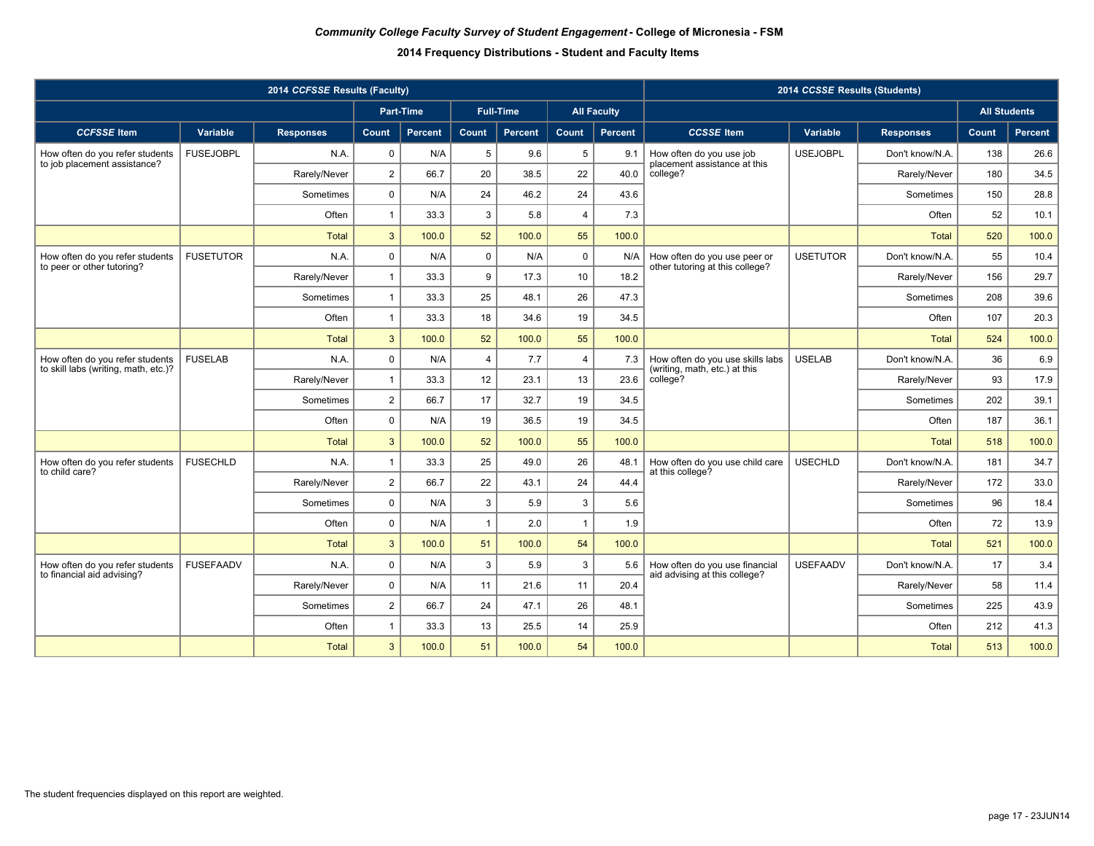|                                                               |                  | 2014 CCFSSE Results (Faculty) | 2014 CCSSE Results (Students) |                |                |                  |                |                    |                                                                 |                 |                  |       |                     |
|---------------------------------------------------------------|------------------|-------------------------------|-------------------------------|----------------|----------------|------------------|----------------|--------------------|-----------------------------------------------------------------|-----------------|------------------|-------|---------------------|
|                                                               |                  |                               |                               | Part-Time      |                | <b>Full-Time</b> |                | <b>All Faculty</b> |                                                                 |                 |                  |       | <b>All Students</b> |
| <b>CCFSSE</b> Item                                            | Variable         | <b>Responses</b>              | Count                         | <b>Percent</b> | Count          | <b>Percent</b>   | <b>Count</b>   | <b>Percent</b>     | <b>CCSSE</b> Item                                               | Variable        | <b>Responses</b> | Count | <b>Percent</b>      |
| How often do you refer students                               | <b>FUSEJOBPL</b> | N.A.                          | $\mathbf 0$                   | N/A            | 5              | 9.6              | 5              | 9.1                | How often do you use job                                        | <b>USEJOBPL</b> | Don't know/N.A.  | 138   | 26.6                |
| to job placement assistance?                                  |                  | Rarely/Never                  | $\overline{2}$                | 66.7           | 20             | 38.5             | 22             | 40.0               | placement assistance at this<br>college?                        |                 | Rarely/Never     | 180   | 34.5                |
|                                                               |                  | Sometimes                     | $\mathsf 0$                   | N/A            | 24             | 46.2             | 24             | 43.6               |                                                                 |                 | Sometimes        | 150   | 28.8                |
|                                                               |                  | Often                         | $\mathbf{1}$                  | 33.3           | 3              | 5.8              | $\overline{4}$ | 7.3                |                                                                 |                 | Often            | 52    | 10.1                |
|                                                               |                  | <b>Total</b>                  | $\mathbf{3}$                  | 100.0          | 52             | 100.0            | 55             | 100.0              |                                                                 |                 | <b>Total</b>     | 520   | 100.0               |
| How often do you refer students<br>to peer or other tutoring? | <b>FUSETUTOR</b> | N.A.                          | $\pmb{0}$                     | N/A            | $\mathsf 0$    | N/A              | $\mathbf 0$    | N/A                | How often do you use peer or<br>other tutoring at this college? | <b>USETUTOR</b> | Don't know/N.A.  | 55    | 10.4                |
|                                                               |                  | Rarely/Never                  | $\mathbf{1}$                  | 33.3           | 9              | 17.3             | 10             | 18.2               |                                                                 |                 | Rarely/Never     | 156   | 29.7                |
|                                                               |                  | Sometimes                     | $\mathbf{1}$                  | 33.3           | 25             | 48.1             | 26             | 47.3               |                                                                 |                 | Sometimes        | 208   | 39.6                |
|                                                               |                  | Often                         | $\mathbf{1}$                  | 33.3           | 18             | 34.6             | 19             | 34.5               |                                                                 |                 | Often            | 107   | 20.3                |
|                                                               |                  | <b>Total</b>                  | $\mathbf{3}$                  | 100.0          | 52             | 100.0            | 55             | 100.0              |                                                                 |                 | <b>Total</b>     | 524   | 100.0               |
| How often do you refer students                               | <b>FUSELAB</b>   | N.A.                          | $\pmb{0}$                     | N/A            | $\overline{4}$ | 7.7              | $\overline{4}$ | 7.3                | How often do you use skills labs                                | <b>USELAB</b>   | Don't know/N.A.  | 36    | 6.9                 |
| to skill labs (writing, math, etc.)?                          |                  | Rarely/Never                  | $\mathbf{1}$                  | 33.3           | 12             | 23.1             | 13             | 23.6               | (writing, math, etc.) at this<br>college?                       |                 | Rarely/Never     | 93    | 17.9                |
|                                                               |                  | Sometimes                     | $\overline{2}$                | 66.7           | 17             | 32.7             | 19             | 34.5               |                                                                 |                 | Sometimes        | 202   | 39.1                |
|                                                               |                  | Often                         | $\pmb{0}$                     | N/A            | 19             | 36.5             | 19             | 34.5               |                                                                 |                 | Often            | 187   | 36.1                |
|                                                               |                  | Total                         | 3                             | 100.0          | 52             | 100.0            | 55             | 100.0              |                                                                 |                 | <b>Total</b>     | 518   | 100.0               |
| How often do you refer students<br>to child care?             | <b>FUSECHLD</b>  | N.A.                          | $\mathbf{1}$                  | 33.3           | 25             | 49.0             | 26             | 48.1               | How often do you use child care                                 | <b>USECHLD</b>  | Don't know/N.A.  | 181   | 34.7                |
|                                                               |                  | Rarely/Never                  | $\overline{2}$                | 66.7           | 22             | 43.1             | 24             | 44.4               | at this college?                                                |                 | Rarely/Never     | 172   | 33.0                |
|                                                               |                  | Sometimes                     | $\mathbf 0$                   | N/A            | 3              | 5.9              | 3              | 5.6                |                                                                 |                 | Sometimes        | 96    | 18.4                |
|                                                               |                  | Often                         | $\mathsf 0$                   | N/A            | $\overline{1}$ | 2.0              | $\overline{1}$ | 1.9                |                                                                 |                 | Often            | 72    | 13.9                |
|                                                               |                  | <b>Total</b>                  | $\mathbf{3}$                  | 100.0          | 51             | 100.0            | 54             | 100.0              |                                                                 |                 | <b>Total</b>     | 521   | 100.0               |
| How often do you refer students                               | <b>FUSEFAADV</b> | N.A.                          | $\mathbf 0$                   | N/A            | 3              | 5.9              | 3              | 5.6                | How often do you use financial                                  | <b>USEFAADV</b> | Don't know/N.A.  | 17    | 3.4                 |
| to financial aid advising?                                    |                  | Rarely/Never                  | $\mathsf 0$                   | N/A            | 11             | 21.6             | 11             | 20.4               | aid advising at this college?                                   |                 | Rarely/Never     | 58    | 11.4                |
|                                                               |                  | Sometimes                     | $\overline{2}$                | 66.7           | 24             | 47.1             | 26             | 48.1               |                                                                 |                 | Sometimes        | 225   | 43.9                |
|                                                               |                  | Often                         | $\mathbf{1}$                  | 33.3           | 13             | 25.5             | 14             | 25.9               |                                                                 |                 | Often            | 212   | 41.3                |
|                                                               |                  | <b>Total</b>                  | 3                             | 100.0          | 51             | 100.0            | 54             | 100.0              |                                                                 |                 | <b>Total</b>     | 513   | 100.0               |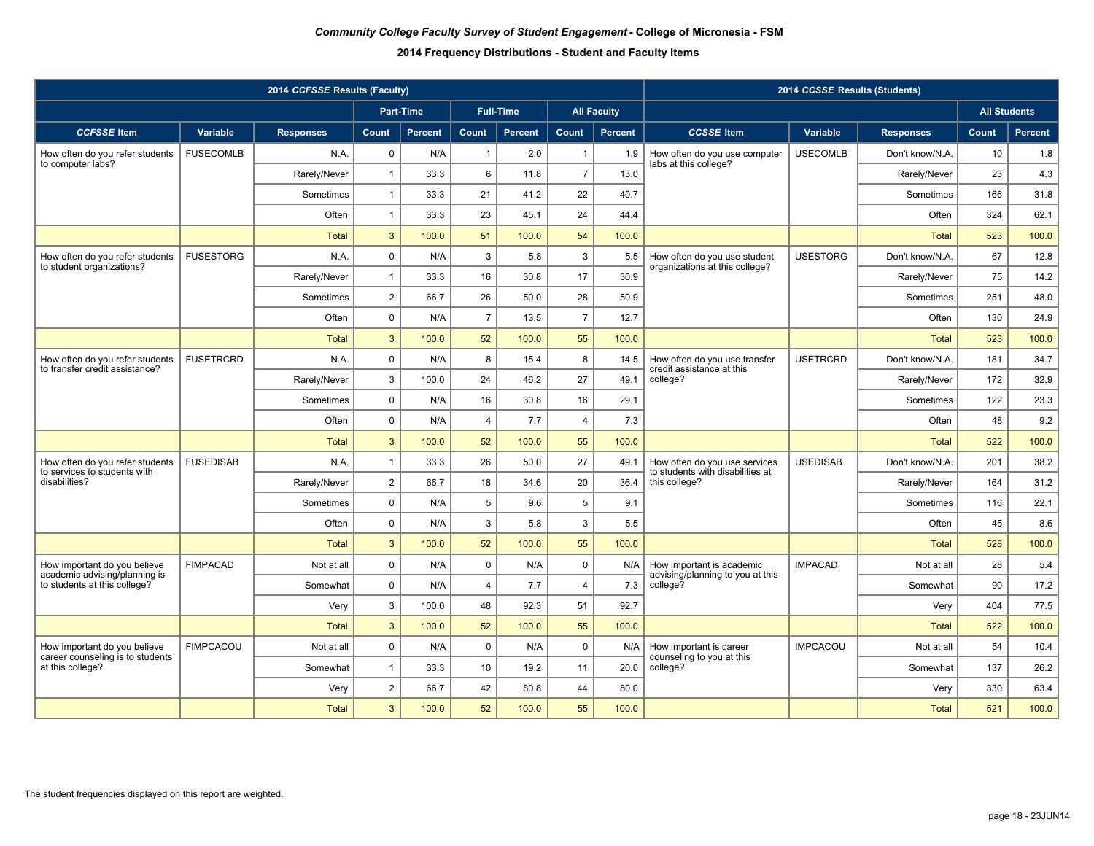|                                                                   |                  | 2014 CCFSSE Results (Faculty) | 2014 CCSSE Results (Students) |                |                |                  |                |                    |                                                                   |                 |                  |       |                     |
|-------------------------------------------------------------------|------------------|-------------------------------|-------------------------------|----------------|----------------|------------------|----------------|--------------------|-------------------------------------------------------------------|-----------------|------------------|-------|---------------------|
|                                                                   |                  |                               |                               | Part-Time      |                | <b>Full-Time</b> |                | <b>All Faculty</b> |                                                                   |                 |                  |       | <b>All Students</b> |
| <b>CCFSSE Item</b>                                                | Variable         | <b>Responses</b>              | Count                         | <b>Percent</b> | Count          | <b>Percent</b>   | Count          | <b>Percent</b>     | <b>CCSSE Item</b>                                                 | Variable        | <b>Responses</b> | Count | Percent             |
| How often do you refer students                                   | <b>FUSECOMLB</b> | N.A.                          | $\mathbf 0$                   | N/A            | $\overline{1}$ | 2.0              | $\mathbf{1}$   | 1.9                | How often do you use computer                                     | <b>USECOMLB</b> | Don't know/N.A.  | 10    | 1.8                 |
| to computer labs?                                                 |                  | Rarely/Never                  | $\mathbf{1}$                  | 33.3           | 6              | 11.8             | $\overline{7}$ | 13.0               | labs at this college?                                             |                 | Rarely/Never     | 23    | 4.3                 |
|                                                                   |                  | Sometimes                     | $\mathbf{1}$                  | 33.3           | 21             | 41.2             | 22             | 40.7               |                                                                   |                 | Sometimes        | 166   | 31.8                |
|                                                                   |                  | Often                         | $\mathbf{1}$                  | 33.3           | 23             | 45.1             | 24             | 44.4               |                                                                   |                 | Often            | 324   | 62.1                |
|                                                                   |                  | <b>Total</b>                  | $\mathbf{3}$                  | 100.0          | 51             | 100.0            | 54             | 100.0              |                                                                   |                 | <b>Total</b>     | 523   | 100.0               |
| How often do you refer students<br>to student organizations?      | <b>FUSESTORG</b> | N.A.                          | $\mathbf 0$                   | N/A            | 3              | 5.8              | 3              | 5.5                | How often do you use student<br>organizations at this college?    | <b>USESTORG</b> | Don't know/N.A.  | 67    | 12.8                |
|                                                                   |                  | Rarely/Never                  | $\mathbf{1}$                  | 33.3           | 16             | 30.8             | 17             | 30.9               |                                                                   |                 | Rarely/Never     | 75    | 14.2                |
|                                                                   |                  | Sometimes                     | $\sqrt{2}$                    | 66.7           | 26             | 50.0             | 28             | 50.9               |                                                                   |                 | Sometimes        | 251   | 48.0                |
|                                                                   |                  | Often                         | $\mathbf 0$                   | N/A            | $\overline{7}$ | 13.5             | $\overline{7}$ | 12.7               |                                                                   |                 | Often            | 130   | 24.9                |
|                                                                   |                  | <b>Total</b>                  | $\mathbf{3}$                  | 100.0          | 52             | 100.0            | 55             | 100.0              |                                                                   |                 | <b>Total</b>     | 523   | 100.0               |
| How often do you refer students<br>to transfer credit assistance? | <b>FUSETRCRD</b> | N.A.                          | $\mathsf 0$                   | N/A            | 8              | 15.4             | 8              | 14.5               | How often do you use transfer<br>credit assistance at this        | <b>USETRCRD</b> | Don't know/N.A.  | 181   | 34.7                |
|                                                                   |                  | Rarely/Never                  | 3                             | 100.0          | 24             | 46.2             | 27             | 49.1               | college?                                                          |                 | Rarely/Never     | 172   | 32.9                |
|                                                                   |                  | Sometimes                     | $\mathbf 0$                   | N/A            | 16             | 30.8             | 16             | 29.1               |                                                                   |                 | Sometimes        | 122   | 23.3                |
|                                                                   |                  | Often                         | $\mathbf 0$                   | N/A            | $\overline{4}$ | 7.7              | $\overline{4}$ | 7.3                |                                                                   |                 | Often            | 48    | 9.2                 |
|                                                                   |                  | Total                         | $\mathbf{3}$                  | 100.0          | 52             | 100.0            | 55             | 100.0              |                                                                   |                 | Total            | 522   | 100.0               |
| How often do you refer students<br>to services to students with   | <b>FUSEDISAB</b> | N.A.                          | $\mathbf{1}$                  | 33.3           | 26             | 50.0             | 27             | 49.1               | How often do you use services<br>to students with disabilities at | <b>USEDISAB</b> | Don't know/N.A.  | 201   | 38.2                |
| disabilities?                                                     |                  | Rarely/Never                  | $\sqrt{2}$                    | 66.7           | 18             | 34.6             | 20             | 36.4               | this college?                                                     |                 | Rarely/Never     | 164   | 31.2                |
|                                                                   |                  | Sometimes                     | $\mathbf 0$                   | N/A            | $\overline{5}$ | 9.6              | 5              | 9.1                |                                                                   |                 | Sometimes        | 116   | 22.1                |
|                                                                   |                  | Often                         | $\mathbf 0$                   | N/A            | 3              | 5.8              | 3              | 5.5                |                                                                   |                 | Often            | 45    | 8.6                 |
|                                                                   |                  | <b>Total</b>                  | $\mathbf{3}$                  | 100.0          | 52             | 100.0            | 55             | 100.0              |                                                                   |                 | <b>Total</b>     | 528   | 100.0               |
| How important do you believe<br>academic advising/planning is     | <b>FIMPACAD</b>  | Not at all                    | $\mathsf 0$                   | N/A            | $\mathsf 0$    | N/A              | $\mathbf 0$    | N/A                | How important is academic<br>advising/planning to you at this     | <b>IMPACAD</b>  | Not at all       | 28    | 5.4                 |
| to students at this college?                                      |                  | Somewhat                      | $\mathbf 0$                   | N/A            | $\overline{4}$ | 7.7              | $\overline{4}$ | 7.3                | college?                                                          |                 | Somewhat         | 90    | 17.2                |
|                                                                   |                  | Very                          | 3                             | 100.0          | 48             | 92.3             | 51             | 92.7               |                                                                   |                 | Very             | 404   | 77.5                |
|                                                                   |                  | Total                         | $\mathbf{3}$                  | 100.0          | 52             | 100.0            | 55             | 100.0              |                                                                   |                 | <b>Total</b>     | 522   | 100.0               |
| How important do you believe<br>career counseling is to students  | <b>FIMPCACOU</b> | Not at all                    | $\mathbf 0$                   | N/A            | $\mathbf 0$    | N/A              | $\mathbf 0$    | N/A                | How important is career<br>counseling to you at this              | <b>IMPCACOU</b> | Not at all       | 54    | 10.4                |
| at this college?                                                  |                  | Somewhat                      | $\mathbf{1}$                  | 33.3           | 10             | 19.2             | 11             | 20.0               | college?                                                          |                 | Somewhat         | 137   | 26.2                |
|                                                                   |                  | Very                          | $\overline{2}$                | 66.7           | 42             | 80.8             | 44             | 80.0               |                                                                   |                 | Very             | 330   | 63.4                |
|                                                                   |                  | Total                         | 3                             | 100.0          | 52             | 100.0            | 55             | 100.0              |                                                                   |                 | Total            | 521   | 100.0               |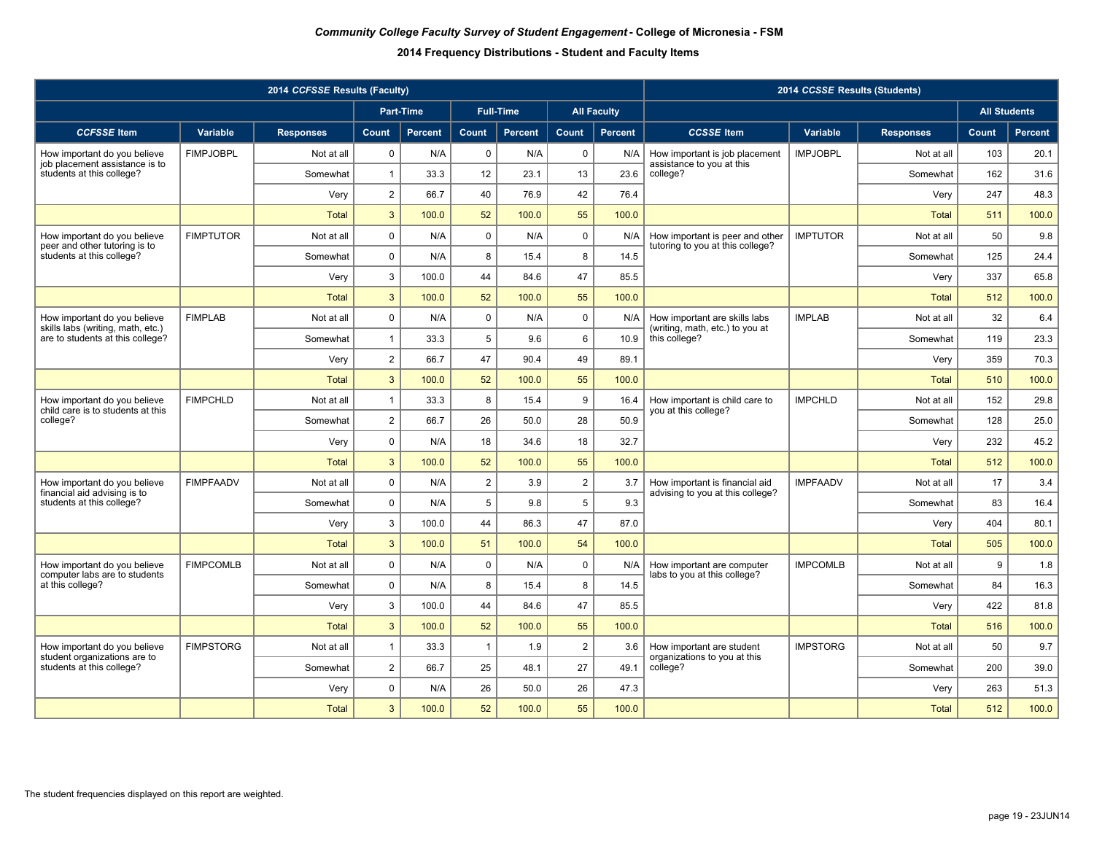|                                                                   |                  | 2014 CCFSSE Results (Faculty) | 2014 CCSSE Results (Students) |                  |                |                  |                |                    |                                                                     |                 |                  |       |                     |
|-------------------------------------------------------------------|------------------|-------------------------------|-------------------------------|------------------|----------------|------------------|----------------|--------------------|---------------------------------------------------------------------|-----------------|------------------|-------|---------------------|
|                                                                   |                  |                               |                               | <b>Part-Time</b> |                | <b>Full-Time</b> |                | <b>All Faculty</b> |                                                                     |                 |                  |       | <b>All Students</b> |
| <b>CCFSSE Item</b>                                                | Variable         | <b>Responses</b>              | Count                         | Percent          | Count          | Percent          | Count          | Percent            | <b>CCSSE</b> Item                                                   | Variable        | <b>Responses</b> | Count | <b>Percent</b>      |
| How important do you believe                                      | <b>FIMPJOBPL</b> | Not at all                    | $\mathbf 0$                   | N/A              | $\mathbf 0$    | N/A              | $\mathbf 0$    | N/A                | How important is job placement                                      | <b>IMPJOBPL</b> | Not at all       | 103   | 20.1                |
| job placement assistance is to<br>students at this college?       |                  | Somewhat                      | $\mathbf{1}$                  | 33.3             | 12             | 23.1             | 13             | 23.6               | assistance to you at this<br>college?                               |                 | Somewhat         | 162   | 31.6                |
|                                                                   |                  | Very                          | $\boldsymbol{2}$              | 66.7             | 40             | 76.9             | 42             | 76.4               |                                                                     |                 | Very             | 247   | 48.3                |
|                                                                   |                  | <b>Total</b>                  | $\mathbf{3}$                  | 100.0            | 52             | 100.0            | 55             | 100.0              |                                                                     |                 | <b>Total</b>     | 511   | 100.0               |
| How important do you believe<br>peer and other tutoring is to     | <b>FIMPTUTOR</b> | Not at all                    | $\Omega$                      | N/A              | $\mathbf 0$    | N/A              | $\mathbf 0$    | N/A                | How important is peer and other<br>tutoring to you at this college? | <b>IMPTUTOR</b> | Not at all       | 50    | 9.8                 |
| students at this college?                                         |                  | Somewhat                      | $\mathbf 0$                   | N/A              | 8              | 15.4             | 8              | 14.5               |                                                                     |                 | Somewhat         | 125   | 24.4                |
|                                                                   |                  | Very                          | 3                             | 100.0            | 44             | 84.6             | 47             | 85.5               |                                                                     |                 | Very             | 337   | 65.8                |
|                                                                   |                  | Total                         | $\sqrt{3}$                    | 100.0            | 52             | 100.0            | 55             | 100.0              |                                                                     |                 | <b>Total</b>     | 512   | 100.0               |
| How important do you believe<br>skills labs (writing, math, etc.) | <b>FIMPLAB</b>   | Not at all                    | $\pmb{0}$                     | N/A              | $\mathsf 0$    | N/A              | $\mathbf 0$    | N/A                | How important are skills labs<br>(writing, math, etc.) to you at    | <b>IMPLAB</b>   | Not at all       | 32    | 6.4                 |
| are to students at this college?                                  |                  | Somewhat                      | $\mathbf{1}$                  | 33.3             | 5              | 9.6              | 6              | 10.9               | this college?                                                       |                 | Somewhat         | 119   | 23.3                |
|                                                                   |                  | Very                          | $\overline{2}$                | 66.7             | 47             | 90.4             | 49             | 89.1               |                                                                     |                 | Very             | 359   | 70.3                |
|                                                                   |                  | <b>Total</b>                  | $\mathbf{3}$                  | 100.0            | 52             | 100.0            | 55             | 100.0              |                                                                     |                 | <b>Total</b>     | 510   | 100.0               |
| How important do you believe<br>child care is to students at this | <b>FIMPCHLD</b>  | Not at all                    | $\mathbf{1}$                  | 33.3             | 8              | 15.4             | 9              | 16.4               | How important is child care to<br>you at this college?              | <b>IMPCHLD</b>  | Not at all       | 152   | 29.8                |
| college?                                                          |                  | Somewhat                      | $\overline{2}$                | 66.7             | 26             | 50.0             | 28             | 50.9               |                                                                     |                 | Somewhat         | 128   | 25.0                |
|                                                                   |                  | Very                          | $\mathbf 0$                   | N/A              | 18             | 34.6             | 18             | 32.7               |                                                                     |                 | Very             | 232   | 45.2                |
|                                                                   |                  | <b>Total</b>                  | $\mathbf{3}$                  | 100.0            | 52             | 100.0            | 55             | 100.0              |                                                                     |                 | <b>Total</b>     | 512   | 100.0               |
| How important do you believe<br>financial aid advising is to      | <b>FIMPFAADV</b> | Not at all                    | $\pmb{0}$                     | N/A              | $\overline{2}$ | 3.9              | $\overline{2}$ | 3.7                | How important is financial aid<br>advising to you at this college?  | <b>IMPFAADV</b> | Not at all       | 17    | 3.4                 |
| students at this college?                                         |                  | Somewhat                      | $\mathbf 0$                   | N/A              | 5              | 9.8              | 5              | 9.3                |                                                                     |                 | Somewhat         | 83    | 16.4                |
|                                                                   |                  | Very                          | $\mathbf{3}$                  | 100.0            | 44             | 86.3             | 47             | 87.0               |                                                                     |                 | Very             | 404   | 80.1                |
|                                                                   |                  | <b>Total</b>                  | $\mathbf{3}$                  | 100.0            | 51             | 100.0            | 54             | 100.0              |                                                                     |                 | <b>Total</b>     | 505   | 100.0               |
| How important do you believe<br>computer labs are to students     | <b>FIMPCOMLB</b> | Not at all                    | $\mathbf 0$                   | N/A              | $\mathbf 0$    | N/A              | $\mathbf 0$    | N/A                | How important are computer<br>labs to you at this college?          | <b>IMPCOMLB</b> | Not at all       | 9     | 1.8                 |
| at this college?                                                  |                  | Somewhat                      | $\pmb{0}$                     | N/A              | 8              | 15.4             | 8              | 14.5               |                                                                     |                 | Somewhat         | 84    | 16.3                |
|                                                                   |                  | Very                          | 3                             | 100.0            | 44             | 84.6             | 47             | 85.5               |                                                                     |                 | Very             | 422   | 81.8                |
|                                                                   |                  | <b>Total</b>                  | $\mathbf{3}$                  | 100.0            | 52             | 100.0            | 55             | 100.0              |                                                                     |                 | <b>Total</b>     | 516   | 100.0               |
| How important do you believe<br>student organizations are to      | <b>FIMPSTORG</b> | Not at all                    | $\mathbf{1}$                  | 33.3             | $\overline{1}$ | 1.9              | $\overline{2}$ | 3.6                | How important are student<br>organizations to you at this           | <b>IMPSTORG</b> | Not at all       | 50    | 9.7                 |
| students at this college?                                         |                  | Somewhat                      | $\overline{2}$                | 66.7             | 25             | 48.1             | 27             | 49.1               | college?                                                            |                 | Somewhat         | 200   | 39.0                |
|                                                                   |                  | Very                          | $\pmb{0}$                     | N/A              | 26             | 50.0             | 26             | 47.3               |                                                                     |                 | Very             | 263   | 51.3                |
|                                                                   |                  | <b>Total</b>                  | $\overline{3}$                | 100.0            | 52             | 100.0            | 55             | 100.0              |                                                                     |                 | <b>Total</b>     | 512   | 100.0               |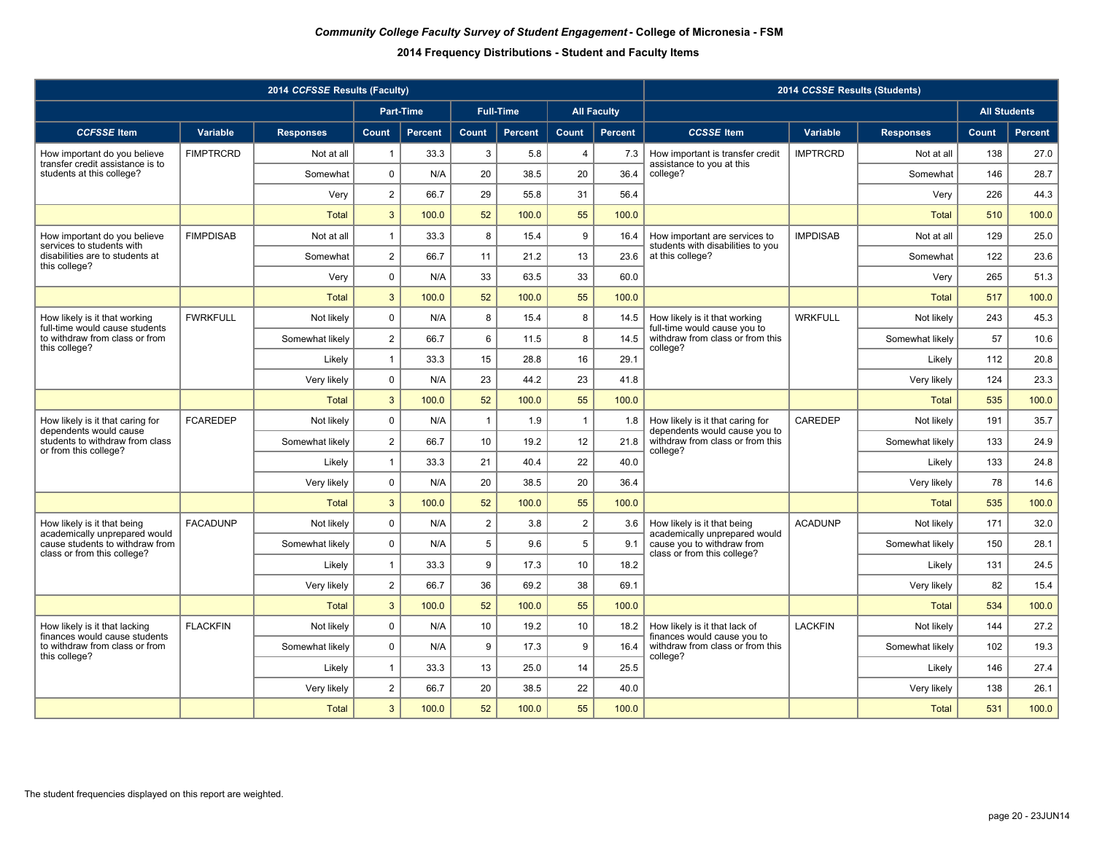|                                                                 |                  | 2014 CCFSSE Results (Faculty) | 2014 CCSSE Results (Students) |                  |                |                  |                |                    |                                                                    |                 |                  |       |                     |
|-----------------------------------------------------------------|------------------|-------------------------------|-------------------------------|------------------|----------------|------------------|----------------|--------------------|--------------------------------------------------------------------|-----------------|------------------|-------|---------------------|
|                                                                 |                  |                               |                               | <b>Part-Time</b> |                | <b>Full-Time</b> |                | <b>All Faculty</b> |                                                                    |                 |                  |       | <b>All Students</b> |
| <b>CCFSSE</b> Item                                              | Variable         | <b>Responses</b>              | Count                         | Percent          | Count          | <b>Percent</b>   | Count          | <b>Percent</b>     | <b>CCSSE</b> Item                                                  | Variable        | <b>Responses</b> | Count | <b>Percent</b>      |
| How important do you believe                                    | <b>FIMPTRCRD</b> | Not at all                    | $\mathbf{1}$                  | 33.3             | 3              | 5.8              | $\overline{4}$ | 7.3                | How important is transfer credit                                   | <b>IMPTRCRD</b> | Not at all       | 138   | 27.0                |
| transfer credit assistance is to<br>students at this college?   |                  | Somewhat                      | $\mathbf 0$                   | N/A              | 20             | 38.5             | 20             | 36.4               | assistance to you at this<br>college?                              |                 | Somewhat         | 146   | 28.7                |
|                                                                 |                  | Very                          | $\overline{2}$                | 66.7             | 29             | 55.8             | 31             | 56.4               |                                                                    |                 | Very             | 226   | 44.3                |
|                                                                 |                  | <b>Total</b>                  | $\mathbf{3}$                  | 100.0            | 52             | 100.0            | 55             | 100.0              |                                                                    |                 | <b>Total</b>     | 510   | 100.0               |
| How important do you believe<br>services to students with       | <b>FIMPDISAB</b> | Not at all                    | $\mathbf{1}$                  | 33.3             | 8              | 15.4             | 9              | 16.4               | How important are services to<br>students with disabilities to you | <b>IMPDISAB</b> | Not at all       | 129   | 25.0                |
| disabilities are to students at<br>this college?                |                  | Somewhat                      | $\overline{2}$                | 66.7             | 11             | 21.2             | 13             | 23.6               | at this college?                                                   |                 | Somewhat         | 122   | 23.6                |
|                                                                 |                  | Very                          | $\pmb{0}$                     | N/A              | 33             | 63.5             | 33             | 60.0               |                                                                    |                 | Very             | 265   | 51.3                |
|                                                                 |                  | <b>Total</b>                  | $\mathbf{3}$                  | 100.0            | 52             | 100.0            | 55             | 100.0              |                                                                    |                 | <b>Total</b>     | 517   | 100.0               |
| How likely is it that working<br>full-time would cause students | <b>FWRKFULL</b>  | Not likely                    | $\mathbf 0$                   | N/A              | 8              | 15.4             | 8              | 14.5               | How likely is it that working<br>full-time would cause you to      | <b>WRKFULL</b>  | Not likely       | 243   | 45.3                |
| to withdraw from class or from<br>this college?                 |                  | Somewhat likely               | $\overline{2}$                | 66.7             | 6              | 11.5             | 8              | 14.5               | withdraw from class or from this<br>college?                       |                 | Somewhat likely  | 57    | 10.6                |
|                                                                 |                  | Likely                        | $\mathbf{1}$                  | 33.3             | 15             | 28.8             | 16             | 29.1               |                                                                    |                 | Likely           | 112   | 20.8                |
|                                                                 |                  | Very likely                   | $\pmb{0}$                     | N/A              | 23             | 44.2             | 23             | 41.8               |                                                                    |                 | Very likely      | 124   | 23.3                |
|                                                                 |                  | <b>Total</b>                  | $\mathbf{3}$                  | 100.0            | 52             | 100.0            | 55             | 100.0              |                                                                    |                 | <b>Total</b>     | 535   | 100.0               |
| How likely is it that caring for<br>dependents would cause      | <b>FCAREDEP</b>  | Not likely                    | $\pmb{0}$                     | N/A              | $\overline{1}$ | 1.9              | $\overline{1}$ | 1.8                | How likely is it that caring for<br>dependents would cause you to  | CAREDEP         | Not likely       | 191   | 35.7                |
| students to withdraw from class<br>or from this college?        |                  | Somewhat likely               | $\overline{2}$                | 66.7             | 10             | 19.2             | 12             | 21.8               | withdraw from class or from this<br>college?                       |                 | Somewhat likely  | 133   | 24.9                |
|                                                                 |                  | Likelv                        | $\mathbf{1}$                  | 33.3             | 21             | 40.4             | 22             | 40.0               |                                                                    |                 | Likely           | 133   | 24.8                |
|                                                                 |                  | Very likely                   | $\pmb{0}$                     | N/A              | 20             | 38.5             | 20             | 36.4               |                                                                    |                 | Very likely      | 78    | 14.6                |
|                                                                 |                  | <b>Total</b>                  | $\mathbf{3}$                  | 100.0            | 52             | 100.0            | 55             | 100.0              |                                                                    |                 | <b>Total</b>     | 535   | 100.0               |
| How likely is it that being<br>academically unprepared would    | <b>FACADUNP</b>  | Not likely                    | $\mathbf 0$                   | N/A              | $\overline{2}$ | 3.8              | $\overline{2}$ | 3.6                | How likely is it that being<br>academically unprepared would       | <b>ACADUNP</b>  | Not likely       | 171   | 32.0                |
| cause students to withdraw from<br>class or from this college?  |                  | Somewhat likely               | $\mathbf 0$                   | N/A              | $\sqrt{5}$     | 9.6              | 5              | 9.1                | cause you to withdraw from<br>class or from this college?          |                 | Somewhat likely  | 150   | 28.1                |
|                                                                 |                  | Likely                        | $\mathbf{1}$                  | 33.3             | 9              | 17.3             | 10             | 18.2               |                                                                    |                 | Likely           | 131   | 24.5                |
|                                                                 |                  | Very likely                   | $\overline{2}$                | 66.7             | 36             | 69.2             | 38             | 69.1               |                                                                    |                 | Very likely      | 82    | 15.4                |
|                                                                 |                  | Total                         | $\sqrt{3}$                    | 100.0            | 52             | 100.0            | 55             | 100.0              |                                                                    |                 | Total            | 534   | 100.0               |
| How likely is it that lacking<br>finances would cause students  | <b>FLACKFIN</b>  | Not likely                    | $\pmb{0}$                     | N/A              | 10             | 19.2             | 10             | 18.2               | How likely is it that lack of<br>finances would cause you to       | <b>LACKFIN</b>  | Not likely       | 144   | 27.2                |
| to withdraw from class or from<br>this college?                 |                  | Somewhat likely               | $\mathbf 0$                   | N/A              | 9              | 17.3             | 9              | 16.4               | withdraw from class or from this<br>college?                       |                 | Somewhat likely  | 102   | 19.3                |
|                                                                 |                  | Likelv                        | $\mathbf{1}$                  | 33.3             | 13             | 25.0             | 14             | 25.5               |                                                                    |                 | Likelv           | 146   | 27.4                |
|                                                                 |                  | Very likely                   | $\overline{2}$                | 66.7             | 20             | 38.5             | 22             | 40.0               |                                                                    |                 | Very likely      | 138   | 26.1                |
|                                                                 |                  | <b>Total</b>                  | $\mathbf{3}$                  | 100.0            | 52             | 100.0            | 55             | 100.0              |                                                                    |                 | Total            | 531   | 100.0               |